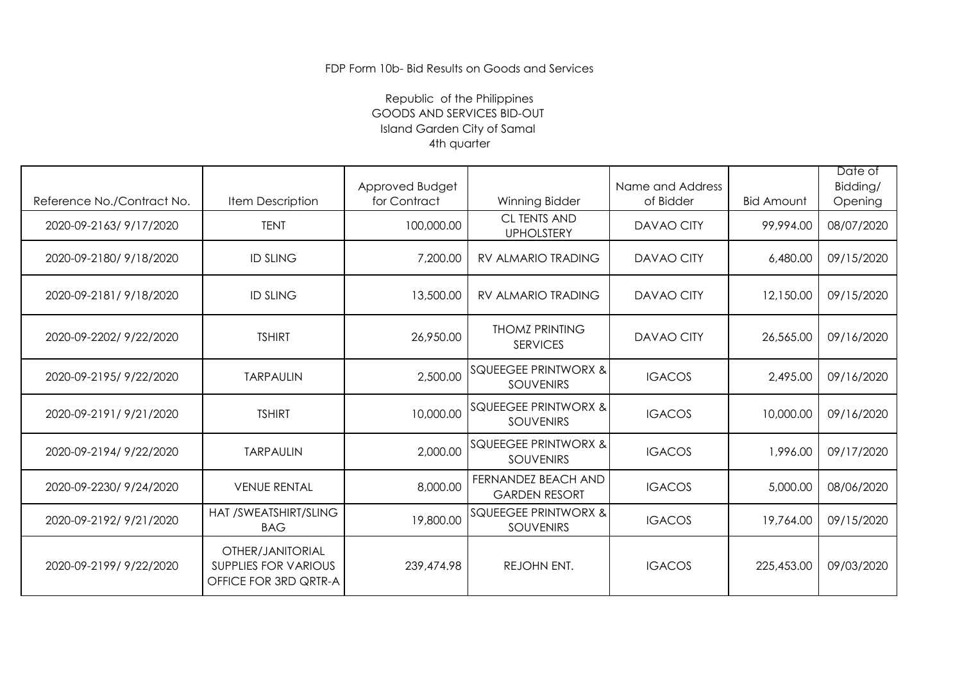## Republic of the Philippines GOODS AND SERVICES BID-OUT Island Garden City of Samal 4th quarter

|                            |                                                                          | Approved Budget |                                                     | Name and Address  |                   | Date of<br>Bidding/ |
|----------------------------|--------------------------------------------------------------------------|-----------------|-----------------------------------------------------|-------------------|-------------------|---------------------|
| Reference No./Contract No. | Item Description                                                         | for Contract    | Winning Bidder                                      | of Bidder         | <b>Bid Amount</b> | Opening             |
| 2020-09-2163/9/17/2020     | <b>TENT</b>                                                              | 100,000.00      | <b>CL TENTS AND</b><br><b>UPHOLSTERY</b>            | <b>DAVAO CITY</b> | 99,994.00         | 08/07/2020          |
| 2020-09-2180/9/18/2020     | <b>ID SLING</b>                                                          | 7,200.00        | RV ALMARIO TRADING                                  | <b>DAVAO CITY</b> | 6,480.00          | 09/15/2020          |
| 2020-09-2181/9/18/2020     | <b>ID SLING</b>                                                          | 13,500.00       | <b>RV ALMARIO TRADING</b>                           | <b>DAVAO CITY</b> | 12,150.00         | 09/15/2020          |
| 2020-09-2202/9/22/2020     | <b>TSHIRT</b>                                                            | 26,950.00       | <b>THOMZ PRINTING</b><br><b>SERVICES</b>            | <b>DAVAO CITY</b> | 26,565.00         | 09/16/2020          |
| 2020-09-2195/9/22/2020     | <b>TARPAULIN</b>                                                         | 2,500.00        | <b>SQUEEGEE PRINTWORX &amp;</b><br><b>SOUVENIRS</b> | <b>IGACOS</b>     | 2,495.00          | 09/16/2020          |
| 2020-09-2191/9/21/2020     | <b>TSHIRT</b>                                                            | 10,000.00       | <b>SQUEEGEE PRINTWORX &amp;</b><br><b>SOUVENIRS</b> | <b>IGACOS</b>     | 10,000.00         | 09/16/2020          |
| 2020-09-2194/9/22/2020     | <b>TARPAULIN</b>                                                         | 2,000.00        | <b>SQUEEGEE PRINTWORX &amp;</b><br><b>SOUVENIRS</b> | <b>IGACOS</b>     | 1,996.00          | 09/17/2020          |
| 2020-09-2230/9/24/2020     | <b>VENUE RENTAL</b>                                                      | 8,000.00        | <b>FERNANDEZ BEACH AND</b><br><b>GARDEN RESORT</b>  | <b>IGACOS</b>     | 5,000.00          | 08/06/2020          |
| 2020-09-2192/9/21/2020     | HAT /SWEATSHIRT/SLING<br><b>BAG</b>                                      | 19,800.00       | <b>SQUEEGEE PRINTWORX &amp;</b><br><b>SOUVENIRS</b> | <b>IGACOS</b>     | 19,764.00         | 09/15/2020          |
| 2020-09-2199/9/22/2020     | OTHER/JANITORIAL<br><b>SUPPLIES FOR VARIOUS</b><br>OFFICE FOR 3RD QRTR-A | 239,474.98      | REJOHN ENT.                                         | <b>IGACOS</b>     | 225,453.00        | 09/03/2020          |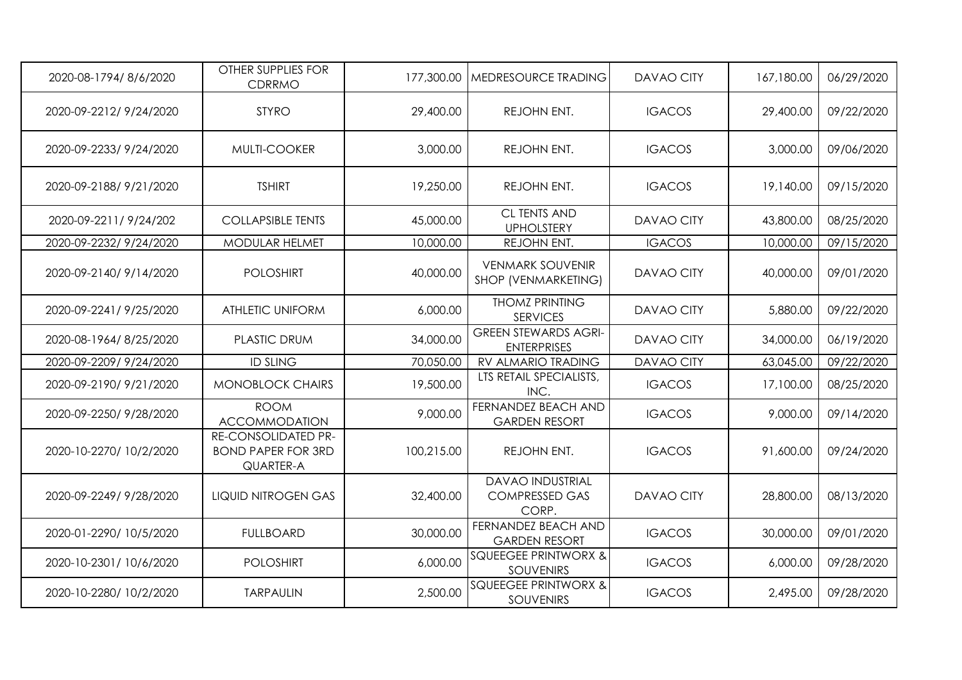| 2020-08-1794/8/6/2020   | OTHER SUPPLIES FOR<br>CDRRMO                                         | 177,300.00 | MEDRESOURCE TRADING                                       | <b>DAVAO CITY</b> | 167,180.00 | 06/29/2020 |
|-------------------------|----------------------------------------------------------------------|------------|-----------------------------------------------------------|-------------------|------------|------------|
| 2020-09-2212/9/24/2020  | <b>STYRO</b>                                                         | 29,400.00  | REJOHN ENT.                                               | <b>IGACOS</b>     | 29,400.00  | 09/22/2020 |
| 2020-09-2233/9/24/2020  | MULTI-COOKER                                                         | 3,000.00   | REJOHN ENT.                                               | <b>IGACOS</b>     | 3,000.00   | 09/06/2020 |
| 2020-09-2188/9/21/2020  | <b>TSHIRT</b>                                                        | 19,250.00  | REJOHN ENT.                                               | <b>IGACOS</b>     | 19,140.00  | 09/15/2020 |
| 2020-09-2211/9/24/202   | <b>COLLAPSIBLE TENTS</b>                                             | 45,000.00  | <b>CL TENTS AND</b><br><b>UPHOLSTERY</b>                  | <b>DAVAO CITY</b> | 43,800.00  | 08/25/2020 |
| 2020-09-2232/ 9/24/2020 | <b>MODULAR HELMET</b>                                                | 10,000.00  | REJOHN ENT.                                               | <b>IGACOS</b>     | 10,000.00  | 09/15/2020 |
| 2020-09-2140/9/14/2020  | <b>POLOSHIRT</b>                                                     | 40,000.00  | <b>VENMARK SOUVENIR</b><br>SHOP (VENMARKETING)            | <b>DAVAO CITY</b> | 40,000.00  | 09/01/2020 |
| 2020-09-2241/9/25/2020  | ATHLETIC UNIFORM                                                     | 6,000.00   | <b>THOMZ PRINTING</b><br><b>SERVICES</b>                  | <b>DAVAO CITY</b> | 5,880.00   | 09/22/2020 |
| 2020-08-1964/8/25/2020  | <b>PLASTIC DRUM</b>                                                  | 34,000.00  | <b>GREEN STEWARDS AGRI-</b><br><b>ENTERPRISES</b>         | <b>DAVAO CITY</b> | 34,000.00  | 06/19/2020 |
| 2020-09-2209/9/24/2020  | <b>ID SLING</b>                                                      | 70,050.00  | RV ALMARIO TRADING                                        | DAVAO CITY        | 63,045.00  | 09/22/2020 |
| 2020-09-2190/9/21/2020  | <b>MONOBLOCK CHAIRS</b>                                              | 19,500.00  | LTS RETAIL SPECIALISTS,<br>INC.                           | <b>IGACOS</b>     | 17,100.00  | 08/25/2020 |
| 2020-09-2250/9/28/2020  | <b>ROOM</b><br><b>ACCOMMODATION</b>                                  | 9,000.00   | FERNANDEZ BEACH AND<br><b>GARDEN RESORT</b>               | <b>IGACOS</b>     | 9,000.00   | 09/14/2020 |
| 2020-10-2270/ 10/2/2020 | <b>RE-CONSOLIDATED PR-</b><br><b>BOND PAPER FOR 3RD</b><br>QUARTER-A | 100,215.00 | REJOHN ENT.                                               | <b>IGACOS</b>     | 91,600.00  | 09/24/2020 |
| 2020-09-2249/9/28/2020  | <b>LIQUID NITROGEN GAS</b>                                           | 32,400.00  | <b>DAVAO INDUSTRIAL</b><br><b>COMPRESSED GAS</b><br>CORP. | <b>DAVAO CITY</b> | 28,800.00  | 08/13/2020 |
| 2020-01-2290/ 10/5/2020 | <b>FULLBOARD</b>                                                     | 30,000.00  | FERNANDEZ BEACH AND<br><b>GARDEN RESORT</b>               | <b>IGACOS</b>     | 30,000.00  | 09/01/2020 |
| 2020-10-2301/10/6/2020  | <b>POLOSHIRT</b>                                                     | 6,000.00   | <b>SQUEEGEE PRINTWORX &amp;</b><br><b>SOUVENIRS</b>       | <b>IGACOS</b>     | 6,000.00   | 09/28/2020 |
| 2020-10-2280/ 10/2/2020 | <b>TARPAULIN</b>                                                     | 2,500.00   | <b>SQUEEGEE PRINTWORX &amp;</b><br>SOUVENIRS              | <b>IGACOS</b>     | 2,495.00   | 09/28/2020 |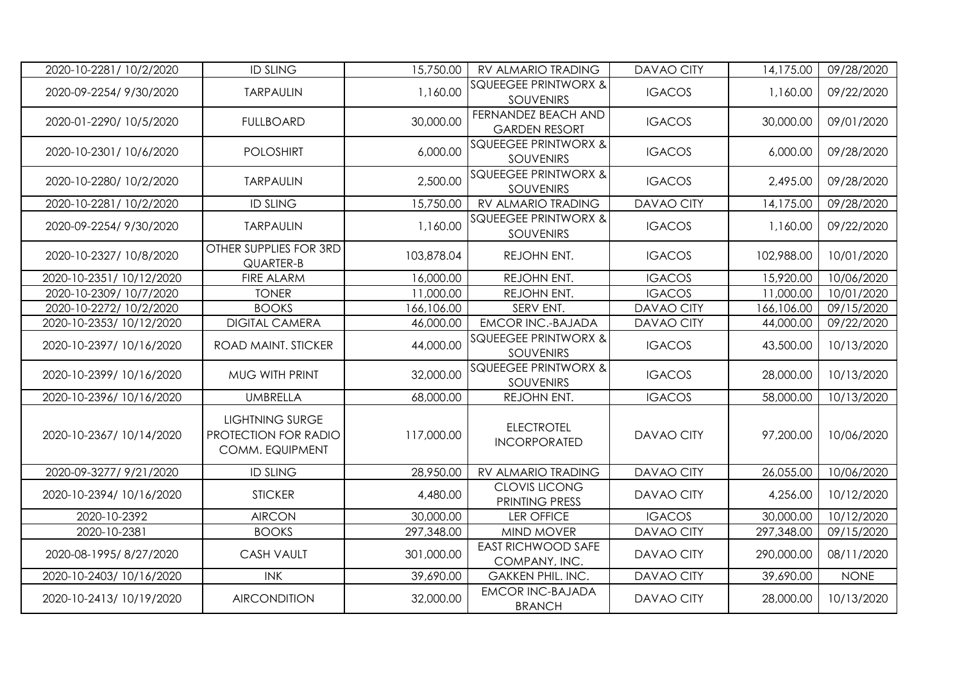| 2020-10-2281/10/2/2020   | <b>ID SLING</b>                                                   | 15,750.00  | RV ALMARIO TRADING                                  | <b>DAVAO CITY</b> | 14,175.00  | 09/28/2020  |
|--------------------------|-------------------------------------------------------------------|------------|-----------------------------------------------------|-------------------|------------|-------------|
| 2020-09-2254/ 9/30/2020  | <b>TARPAULIN</b>                                                  | 1,160.00   | <b>SQUEEGEE PRINTWORX &amp;</b><br><b>SOUVENIRS</b> | <b>IGACOS</b>     | 1,160.00   | 09/22/2020  |
| 2020-01-2290/ 10/5/2020  | <b>FULLBOARD</b>                                                  | 30,000.00  | FERNANDEZ BEACH AND<br><b>GARDEN RESORT</b>         | <b>IGACOS</b>     | 30,000.00  | 09/01/2020  |
| 2020-10-2301/10/6/2020   | <b>POLOSHIRT</b>                                                  | 6,000.00   | <b>SQUEEGEE PRINTWORX &amp;</b><br>SOUVENIRS        | <b>IGACOS</b>     | 6,000.00   | 09/28/2020  |
| 2020-10-2280/ 10/2/2020  | <b>TARPAULIN</b>                                                  | 2,500.00   | <b>SQUEEGEE PRINTWORX &amp;</b><br><b>SOUVENIRS</b> | <b>IGACOS</b>     | 2,495.00   | 09/28/2020  |
| 2020-10-2281/10/2/2020   | <b>ID SLING</b>                                                   | 15,750.00  | RV ALMARIO TRADING                                  | <b>DAVAO CITY</b> | 14,175.00  | 09/28/2020  |
| 2020-09-2254/9/30/2020   | <b>TARPAULIN</b>                                                  | 1,160.00   | <b>SQUEEGEE PRINTWORX &amp;</b><br>SOUVENIRS        | <b>IGACOS</b>     | 1,160.00   | 09/22/2020  |
| 2020-10-2327/10/8/2020   | OTHER SUPPLIES FOR 3RD<br>QUARTER-B                               | 103,878.04 | REJOHN ENT.                                         | <b>IGACOS</b>     | 102,988.00 | 10/01/2020  |
| 2020-10-2351/10/12/2020  | FIRE ALARM                                                        | 16,000.00  | REJOHN ENT.                                         | <b>IGACOS</b>     | 15,920.00  | 10/06/2020  |
| 2020-10-2309/10/7/2020   | <b>TONER</b>                                                      | 11,000.00  | REJOHN ENT.                                         | <b>IGACOS</b>     | 11,000.00  | 10/01/2020  |
| 2020-10-2272/ 10/2/2020  | <b>BOOKS</b>                                                      | 166,106.00 | SERV ENT.                                           | DAVAO CITY        | 166,106.00 | 09/15/2020  |
| 2020-10-2353/10/12/2020  | <b>DIGITAL CAMERA</b>                                             | 46,000.00  | <b>EMCOR INC.-BAJADA</b>                            | DAVAO CITY        | 44,000.00  | 09/22/2020  |
| 2020-10-2397/10/16/2020  | ROAD MAINT. STICKER                                               | 44,000.00  | <b>SQUEEGEE PRINTWORX &amp;</b><br>SOUVENIRS        | <b>IGACOS</b>     | 43,500.00  | 10/13/2020  |
| 2020-10-2399/10/16/2020  | MUG WITH PRINT                                                    | 32,000.00  | <b>SQUEEGEE PRINTWORX &amp;</b><br>SOUVENIRS        | <b>IGACOS</b>     | 28,000.00  | 10/13/2020  |
| 2020-10-2396/10/16/2020  | <b>UMBRELLA</b>                                                   | 68,000.00  | REJOHN ENT.                                         | <b>IGACOS</b>     | 58,000.00  | 10/13/2020  |
| 2020-10-2367/10/14/2020  | <b>LIGHTNING SURGE</b><br>PROTECTION FOR RADIO<br>COMM. EQUIPMENT | 117,000.00 | <b>ELECTROTEL</b><br><b>INCORPORATED</b>            | <b>DAVAO CITY</b> | 97,200.00  | 10/06/2020  |
| 2020-09-3277/9/21/2020   | <b>ID SLING</b>                                                   | 28,950.00  | RV ALMARIO TRADING                                  | <b>DAVAO CITY</b> | 26,055.00  | 10/06/2020  |
| 2020-10-2394/ 10/16/2020 | <b>STICKER</b>                                                    | 4,480.00   | <b>CLOVIS LICONG</b><br>PRINTING PRESS              | <b>DAVAO CITY</b> | 4,256.00   | 10/12/2020  |
| 2020-10-2392             | <b>AIRCON</b>                                                     | 30,000.00  | <b>LER OFFICE</b>                                   | <b>IGACOS</b>     | 30,000.00  | 10/12/2020  |
| 2020-10-2381             | <b>BOOKS</b>                                                      | 297,348.00 | MIND MOVER                                          | <b>DAVAO CITY</b> | 297,348.00 | 09/15/2020  |
| 2020-08-1995/8/27/2020   | <b>CASH VAULT</b>                                                 | 301,000.00 | <b>EAST RICHWOOD SAFE</b><br>COMPANY, INC.          | <b>DAVAO CITY</b> | 290,000.00 | 08/11/2020  |
| 2020-10-2403/ 10/16/2020 | <b>INK</b>                                                        | 39,690.00  | <b>GAKKEN PHIL. INC.</b>                            | <b>DAVAO CITY</b> | 39,690.00  | <b>NONE</b> |
| 2020-10-2413/10/19/2020  | <b>AIRCONDITION</b>                                               | 32,000.00  | <b>EMCOR INC-BAJADA</b><br><b>BRANCH</b>            | DAVAO CITY        | 28,000.00  | 10/13/2020  |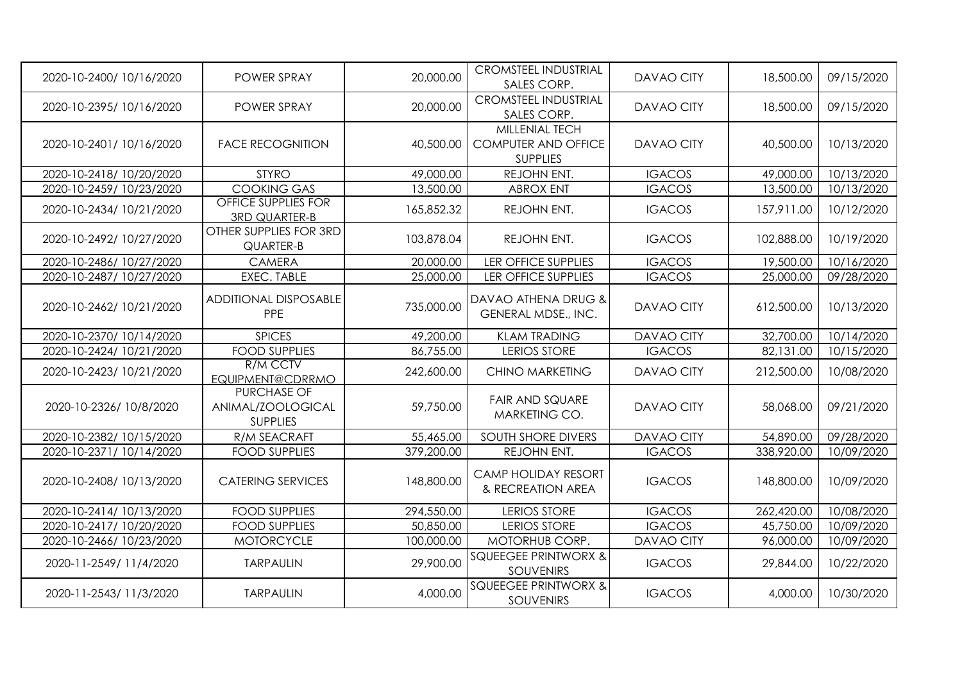| 2020-10-2400/10/16/2020  | POWER SPRAY                                                | 20,000.00  | <b>CROMSTEEL INDUSTRIAL</b><br>SALES CORP.                      | <b>DAVAO CITY</b> | 18,500.00  | 09/15/2020 |
|--------------------------|------------------------------------------------------------|------------|-----------------------------------------------------------------|-------------------|------------|------------|
| 2020-10-2395/10/16/2020  | POWER SPRAY                                                | 20,000.00  | <b>CROMSTEEL INDUSTRIAL</b><br>SALES CORP.                      | <b>DAVAO CITY</b> | 18,500.00  | 09/15/2020 |
| 2020-10-2401/10/16/2020  | <b>FACE RECOGNITION</b>                                    | 40,500.00  | MILLENIAL TECH<br><b>COMPUTER AND OFFICE</b><br><b>SUPPLIES</b> | <b>DAVAO CITY</b> | 40,500.00  | 10/13/2020 |
| 2020-10-2418/ 10/20/2020 | <b>STYRO</b>                                               | 49,000.00  | REJOHN ENT.                                                     | <b>IGACOS</b>     | 49,000.00  | 10/13/2020 |
| 2020-10-2459/10/23/2020  | <b>COOKING GAS</b>                                         | 13,500.00  | <b>ABROX ENT</b>                                                | <b>IGACOS</b>     | 13,500.00  | 10/13/2020 |
| 2020-10-2434/ 10/21/2020 | <b>OFFICE SUPPLIES FOR</b><br><b>3RD QUARTER-B</b>         | 165,852.32 | REJOHN ENT.                                                     | <b>IGACOS</b>     | 157,911.00 | 10/12/2020 |
| 2020-10-2492/ 10/27/2020 | OTHER SUPPLIES FOR 3RD<br>QUARTER-B                        | 103,878.04 | REJOHN ENT.                                                     | <b>IGACOS</b>     | 102,888.00 | 10/19/2020 |
| 2020-10-2486/10/27/2020  | <b>CAMERA</b>                                              | 20,000.00  | <b>LER OFFICE SUPPLIES</b>                                      | <b>IGACOS</b>     | 19,500.00  | 10/16/2020 |
| 2020-10-2487/ 10/27/2020 | EXEC. TABLE                                                | 25,000.00  | <b>LER OFFICE SUPPLIES</b>                                      | <b>IGACOS</b>     | 25,000.00  | 09/28/2020 |
| 2020-10-2462/ 10/21/2020 | <b>ADDITIONAL DISPOSABLE</b><br>PPE                        | 735,000.00 | DAVAO ATHENA DRUG &<br>GENERAL MDSE., INC.                      | <b>DAVAO CITY</b> | 612,500.00 | 10/13/2020 |
| 2020-10-2370/ 10/14/2020 | <b>SPICES</b>                                              | 49,200.00  | <b>KLAM TRADING</b>                                             | <b>DAVAO CITY</b> | 32,700.00  | 10/14/2020 |
| 2020-10-2424/ 10/21/2020 | <b>FOOD SUPPLIES</b>                                       | 86,755.00  | <b>LERIOS STORE</b>                                             | <b>IGACOS</b>     | 82,131.00  | 10/15/2020 |
| 2020-10-2423/ 10/21/2020 | R/M CCTV<br>EQUIPMENT@CDRRMO                               | 242,600.00 | <b>CHINO MARKETING</b>                                          | <b>DAVAO CITY</b> | 212,500.00 | 10/08/2020 |
| 2020-10-2326/ 10/8/2020  | <b>PURCHASE OF</b><br>ANIMAL/ZOOLOGICAL<br><b>SUPPLIES</b> | 59,750.00  | <b>FAIR AND SQUARE</b><br>MARKETING CO.                         | <b>DAVAO CITY</b> | 58,068.00  | 09/21/2020 |
| 2020-10-2382/ 10/15/2020 | R/M SEACRAFT                                               | 55,465.00  | <b>SOUTH SHORE DIVERS</b>                                       | <b>DAVAO CITY</b> | 54,890.00  | 09/28/2020 |
| 2020-10-2371/10/14/2020  | <b>FOOD SUPPLIES</b>                                       | 379,200.00 | REJOHN ENT.                                                     | <b>IGACOS</b>     | 338,920.00 | 10/09/2020 |
| 2020-10-2408/10/13/2020  | <b>CATERING SERVICES</b>                                   | 148,800.00 | CAMP HOLIDAY RESORT<br>& RECREATION AREA                        | <b>IGACOS</b>     | 148,800.00 | 10/09/2020 |
| 2020-10-2414/ 10/13/2020 | <b>FOOD SUPPLIES</b>                                       | 294,550.00 | <b>LERIOS STORE</b>                                             | <b>IGACOS</b>     | 262,420.00 | 10/08/2020 |
| 2020-10-2417/ 10/20/2020 | <b>FOOD SUPPLIES</b>                                       | 50,850.00  | <b>LERIOS STORE</b>                                             | <b>IGACOS</b>     | 45,750.00  | 10/09/2020 |
| 2020-10-2466/10/23/2020  | <b>MOTORCYCLE</b>                                          | 100,000.00 | MOTORHUB CORP.                                                  | <b>DAVAO CITY</b> | 96,000.00  | 10/09/2020 |
| 2020-11-2549/11/4/2020   | <b>TARPAULIN</b>                                           | 29,900.00  | <b>SQUEEGEE PRINTWORX &amp;</b><br>SOUVENIRS                    | <b>IGACOS</b>     | 29,844.00  | 10/22/2020 |
| 2020-11-2543/11/3/2020   | <b>TARPAULIN</b>                                           | 4,000.00   | <b>SQUEEGEE PRINTWORX &amp;</b><br>SOUVENIRS                    | <b>IGACOS</b>     | 4,000.00   | 10/30/2020 |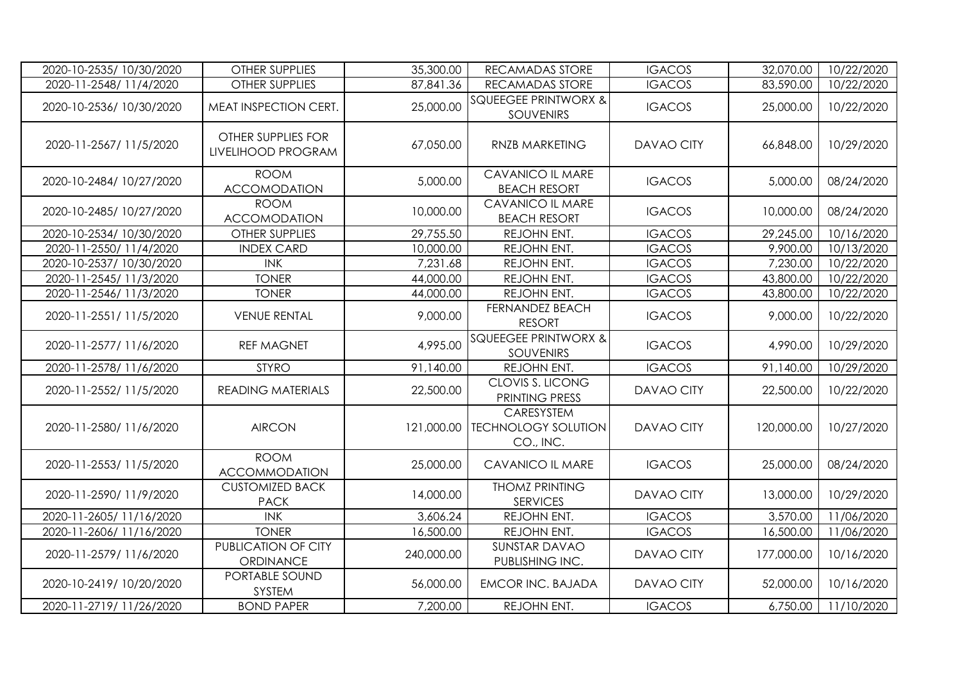| 2020-10-2535/ 10/30/2020 | <b>OTHER SUPPLIES</b>                    | 35,300.00  | RECAMADAS STORE                                             | <b>IGACOS</b>     | 32,070.00  | 10/22/2020 |
|--------------------------|------------------------------------------|------------|-------------------------------------------------------------|-------------------|------------|------------|
| 2020-11-2548/11/4/2020   | <b>OTHER SUPPLIES</b>                    | 87,841.36  | RECAMADAS STORE                                             | <b>IGACOS</b>     | 83,590.00  | 10/22/2020 |
| 2020-10-2536/ 10/30/2020 | MEAT INSPECTION CERT.                    | 25,000.00  | <b>SQUEEGEE PRINTWORX &amp;</b><br>SOUVENIRS                | <b>IGACOS</b>     | 25,000.00  | 10/22/2020 |
| 2020-11-2567/11/5/2020   | OTHER SUPPLIES FOR<br>LIVELIHOOD PROGRAM | 67,050.00  | RNZB MARKETING                                              | <b>DAVAO CITY</b> | 66,848.00  | 10/29/2020 |
| 2020-10-2484/ 10/27/2020 | <b>ROOM</b><br><b>ACCOMODATION</b>       | 5,000.00   | CAVANICO IL MARE<br><b>BEACH RESORT</b>                     | <b>IGACOS</b>     | 5,000.00   | 08/24/2020 |
| 2020-10-2485/10/27/2020  | <b>ROOM</b><br><b>ACCOMODATION</b>       | 10,000.00  | CAVANICO IL MARE<br><b>BEACH RESORT</b>                     | <b>IGACOS</b>     | 10,000.00  | 08/24/2020 |
| 2020-10-2534/ 10/30/2020 | <b>OTHER SUPPLIES</b>                    | 29,755.50  | REJOHN ENT.                                                 | <b>IGACOS</b>     | 29,245.00  | 10/16/2020 |
| 2020-11-2550/11/4/2020   | <b>INDEX CARD</b>                        | 10,000.00  | REJOHN ENT.                                                 | <b>IGACOS</b>     | 9,900.00   | 10/13/2020 |
| 2020-10-2537/ 10/30/2020 | <b>INK</b>                               | 7,231.68   | REJOHN ENT.                                                 | <b>IGACOS</b>     | 7,230.00   | 10/22/2020 |
| 2020-11-2545/11/3/2020   | <b>TONER</b>                             | 44,000.00  | REJOHN ENT.                                                 | <b>IGACOS</b>     | 43,800.00  | 10/22/2020 |
| 2020-11-2546/11/3/2020   | <b>TONER</b>                             | 44,000.00  | REJOHN ENT.                                                 | <b>IGACOS</b>     | 43,800.00  | 10/22/2020 |
| 2020-11-2551/11/5/2020   | <b>VENUE RENTAL</b>                      | 9,000.00   | FERNANDEZ BEACH<br><b>RESORT</b>                            | <b>IGACOS</b>     | 9,000.00   | 10/22/2020 |
| 2020-11-2577/11/6/2020   | <b>REF MAGNET</b>                        | 4,995.00   | <b>SQUEEGEE PRINTWORX &amp;</b><br><b>SOUVENIRS</b>         | <b>IGACOS</b>     | 4,990.00   | 10/29/2020 |
| 2020-11-2578/11/6/2020   | <b>STYRO</b>                             | 91,140.00  | REJOHN ENT.                                                 | <b>IGACOS</b>     | 91,140.00  | 10/29/2020 |
| 2020-11-2552/ 11/5/2020  | <b>READING MATERIALS</b>                 | 22,500.00  | CLOVIS S. LICONG<br>PRINTING PRESS                          | <b>DAVAO CITY</b> | 22,500.00  | 10/22/2020 |
| 2020-11-2580/11/6/2020   | <b>AIRCON</b>                            |            | CARESYSTEM<br>121,000.00   TECHNOLOGY SOLUTION<br>CO., INC. | <b>DAVAO CITY</b> | 120,000.00 | 10/27/2020 |
| 2020-11-2553/11/5/2020   | <b>ROOM</b><br><b>ACCOMMODATION</b>      | 25,000.00  | CAVANICO IL MARE                                            | <b>IGACOS</b>     | 25,000.00  | 08/24/2020 |
| 2020-11-2590/ 11/9/2020  | <b>CUSTOMIZED BACK</b><br><b>PACK</b>    | 14,000.00  | <b>THOMZ PRINTING</b><br><b>SERVICES</b>                    | <b>DAVAO CITY</b> | 13,000.00  | 10/29/2020 |
| 2020-11-2605/11/16/2020  | <b>INK</b>                               | 3,606.24   | REJOHN ENT.                                                 | <b>IGACOS</b>     | 3,570.00   | 11/06/2020 |
| 2020-11-2606/11/16/2020  | <b>TONER</b>                             | 16,500.00  | REJOHN ENT.                                                 | <b>IGACOS</b>     | 16,500.00  | 11/06/2020 |
| 2020-11-2579/11/6/2020   | <b>PUBLICATION OF CITY</b><br>ORDINANCE  | 240,000.00 | <b>SUNSTAR DAVAO</b><br>PUBLISHING INC.                     | DAVAO CITY        | 177,000.00 | 10/16/2020 |
| 2020-10-2419/10/20/2020  | PORTABLE SOUND<br>SYSTEM                 | 56,000.00  | <b>EMCOR INC. BAJADA</b>                                    | DAVAO CITY        | 52,000.00  | 10/16/2020 |
| 2020-11-2719/11/26/2020  | <b>BOND PAPER</b>                        | 7,200.00   | REJOHN ENT.                                                 | <b>IGACOS</b>     | 6,750.00   | 11/10/2020 |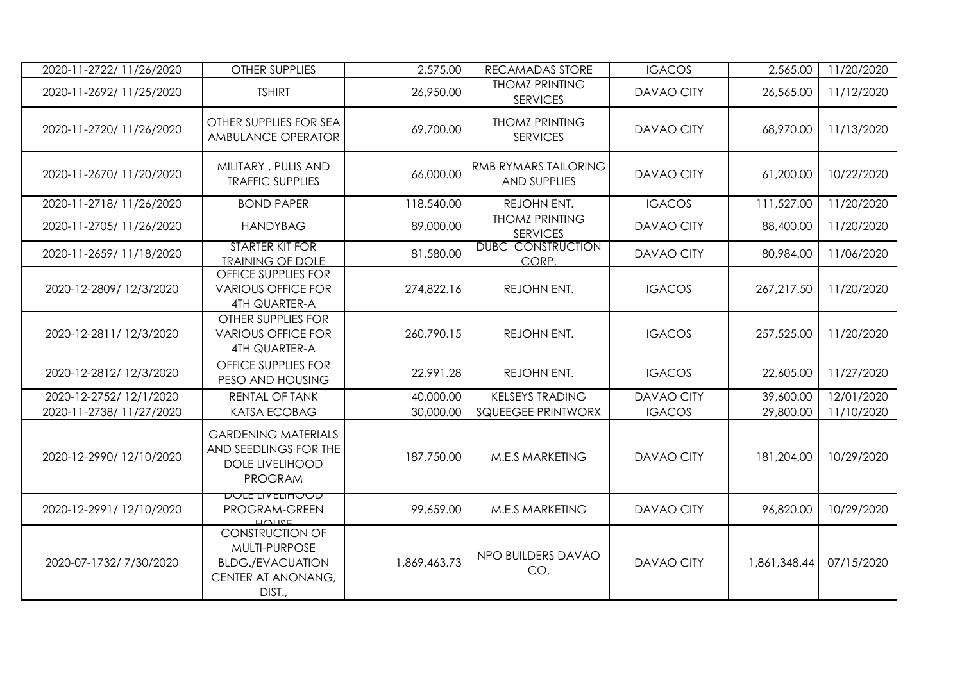| 2020-11-2722/ 11/26/2020 | OTHER SUPPLIES                                                                                     | 2,575.00     | RECAMADAS STORE                                    | <b>IGACOS</b>     | 2,565.00     | 11/20/2020 |
|--------------------------|----------------------------------------------------------------------------------------------------|--------------|----------------------------------------------------|-------------------|--------------|------------|
| 2020-11-2692/11/25/2020  | <b>TSHIRT</b>                                                                                      | 26,950.00    | <b>THOMZ PRINTING</b><br><b>SERVICES</b>           | <b>DAVAO CITY</b> | 26,565.00    | 11/12/2020 |
| 2020-11-2720/11/26/2020  | OTHER SUPPLIES FOR SEA<br>AMBULANCE OPERATOR                                                       | 69,700.00    | <b>THOMZ PRINTING</b><br><b>SERVICES</b>           | <b>DAVAO CITY</b> | 68,970.00    | 11/13/2020 |
| 2020-11-2670/11/20/2020  | MILITARY, PULIS AND<br><b>TRAFFIC SUPPLIES</b>                                                     | 66,000.00    | <b>RMB RYMARS TAILORING</b><br><b>AND SUPPLIES</b> | <b>DAVAO CITY</b> | 61,200.00    | 10/22/2020 |
| 2020-11-2718/11/26/2020  | <b>BOND PAPER</b>                                                                                  | 118,540.00   | REJOHN ENT.                                        | <b>IGACOS</b>     | 111,527.00   | 11/20/2020 |
| 2020-11-2705/11/26/2020  | <b>HANDYBAG</b>                                                                                    | 89,000.00    | <b>THOMZ PRINTING</b><br><b>SERVICES</b>           | <b>DAVAO CITY</b> | 88,400.00    | 11/20/2020 |
| 2020-11-2659/11/18/2020  | <b>STARTER KIT FOR</b><br><b>TRAINING OF DOLE</b>                                                  | 81,580.00    | <b>DUBC CONSTRUCTION</b><br>CORP.                  | DAVAO CITY        | 80,984.00    | 11/06/2020 |
| 2020-12-2809/12/3/2020   | OFFICE SUPPLIES FOR<br><b>VARIOUS OFFICE FOR</b><br><b>4TH QUARTER-A</b>                           | 274,822.16   | REJOHN ENT.                                        | <b>IGACOS</b>     | 267,217.50   | 11/20/2020 |
| 2020-12-2811/12/3/2020   | OTHER SUPPLIES FOR<br><b>VARIOUS OFFICE FOR</b><br><b>4TH QUARTER-A</b>                            | 260,790.15   | REJOHN ENT.                                        | <b>IGACOS</b>     | 257,525.00   | 11/20/2020 |
| 2020-12-2812/12/3/2020   | OFFICE SUPPLIES FOR<br>PESO AND HOUSING                                                            | 22,991.28    | REJOHN ENT.                                        | <b>IGACOS</b>     | 22,605.00    | 11/27/2020 |
| 2020-12-2752/ 12/1/2020  | RENTAL OF TANK                                                                                     | 40,000.00    | <b>KELSEYS TRADING</b>                             | <b>DAVAO CITY</b> | 39,600.00    | 12/01/2020 |
| 2020-11-2738/11/27/2020  | <b>KATSA ECOBAG</b>                                                                                | 30,000.00    | <b>SQUEEGEE PRINTWORX</b>                          | <b>IGACOS</b>     | 29,800.00    | 11/10/2020 |
| 2020-12-2990/12/10/2020  | <b>GARDENING MATERIALS</b><br>AND SEEDLINGS FOR THE<br><b>DOLE LIVELIHOOD</b><br><b>PROGRAM</b>    | 187,750.00   | M.E.S MARKETING                                    | <b>DAVAO CITY</b> | 181,204.00   | 10/29/2020 |
| 2020-12-2991/12/10/2020  | <u>DOLE LIVELINOOD</u><br>PROGRAM-GREEN<br>10110E                                                  | 99,659.00    | <b>M.E.S MARKETING</b>                             | <b>DAVAO CITY</b> | 96,820.00    | 10/29/2020 |
| 2020-07-1732/ 7/30/2020  | <b>CONSTRUCTION OF</b><br>MULTI-PURPOSE<br><b>BLDG./EVACUATION</b><br>CENTER AT ANONANG,<br>DIST., | 1,869,463.73 | NPO BUILDERS DAVAO<br>CO.                          | <b>DAVAO CITY</b> | 1,861,348.44 | 07/15/2020 |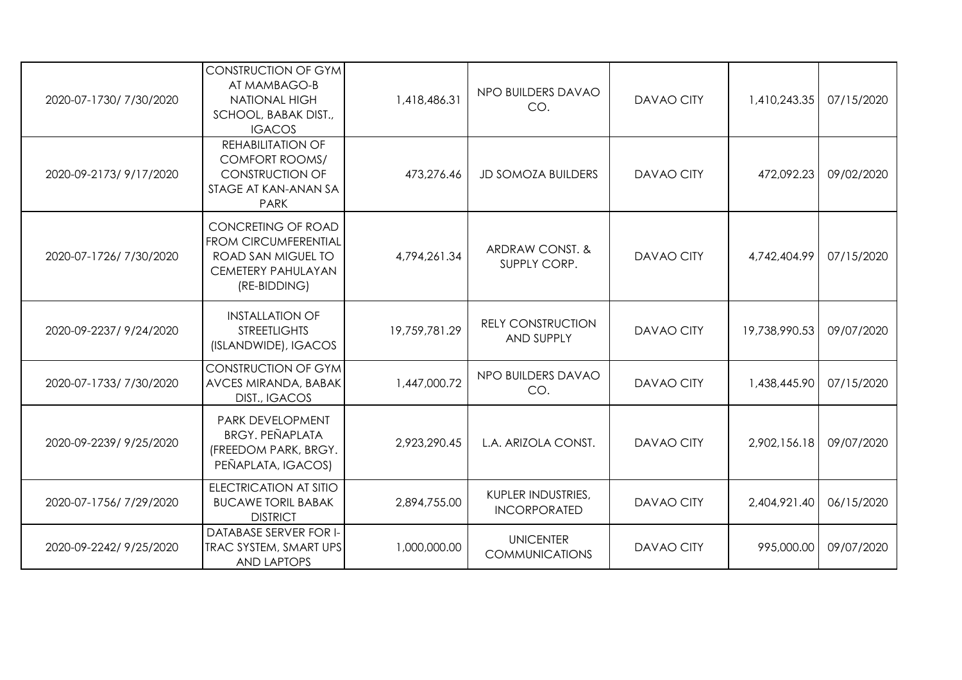| 2020-07-1730/7/30/2020  | <b>CONSTRUCTION OF GYM</b><br>AT MAMBAGO-B<br><b>NATIONAL HIGH</b><br>SCHOOL, BABAK DIST.,<br><b>IGACOS</b>          | 1,418,486.31  | NPO BUILDERS DAVAO<br>CO.                 | <b>DAVAO CITY</b> | 1,410,243.35  | 07/15/2020 |
|-------------------------|----------------------------------------------------------------------------------------------------------------------|---------------|-------------------------------------------|-------------------|---------------|------------|
| 2020-09-2173/9/17/2020  | <b>REHABILITATION OF</b><br><b>COMFORT ROOMS/</b><br><b>CONSTRUCTION OF</b><br>STAGE AT KAN-ANAN SA<br><b>PARK</b>   | 473,276.46    | <b>JD SOMOZA BUILDERS</b>                 | <b>DAVAO CITY</b> | 472,092.23    | 09/02/2020 |
| 2020-07-1726/7/30/2020  | CONCRETING OF ROAD<br><b>FROM CIRCUMFERENTIAL</b><br>ROAD SAN MIGUEL TO<br><b>CEMETERY PAHULAYAN</b><br>(RE-BIDDING) | 4,794,261.34  | ARDRAW CONST. &<br>SUPPLY CORP.           | <b>DAVAO CITY</b> | 4,742,404.99  | 07/15/2020 |
| 2020-09-2237/9/24/2020  | <b>INSTALLATION OF</b><br><b>STREETLIGHTS</b><br>(ISLANDWIDE), IGACOS                                                | 19,759,781.29 | <b>RELY CONSTRUCTION</b><br>AND SUPPLY    | <b>DAVAO CITY</b> | 19,738,990.53 | 09/07/2020 |
| 2020-07-1733/ 7/30/2020 | <b>CONSTRUCTION OF GYM</b><br><b>AVCES MIRANDA, BABAK</b><br><b>DIST., IGACOS</b>                                    | 1,447,000.72  | NPO BUILDERS DAVAO<br>CO.                 | <b>DAVAO CITY</b> | 1,438,445.90  | 07/15/2020 |
| 2020-09-2239/9/25/2020  | PARK DEVELOPMENT<br><b>BRGY. PEÑAPLATA</b><br>(FREEDOM PARK, BRGY.<br>PEÑAPLATA, IGACOS)                             | 2,923,290.45  | L.A. ARIZOLA CONST.                       | <b>DAVAO CITY</b> | 2,902,156.18  | 09/07/2020 |
| 2020-07-1756/7/29/2020  | <b>ELECTRICATION AT SITIO</b><br><b>BUCAWE TORIL BABAK</b><br><b>DISTRICT</b>                                        | 2,894,755.00  | KUPLER INDUSTRIES,<br><b>INCORPORATED</b> | <b>DAVAO CITY</b> | 2,404,921.40  | 06/15/2020 |
| 2020-09-2242/9/25/2020  | <b>DATABASE SERVER FOR I-</b><br><b>TRAC SYSTEM, SMART UPS</b><br><b>AND LAPTOPS</b>                                 | 1,000,000.00  | <b>UNICENTER</b><br><b>COMMUNICATIONS</b> | <b>DAVAO CITY</b> | 995,000.00    | 09/07/2020 |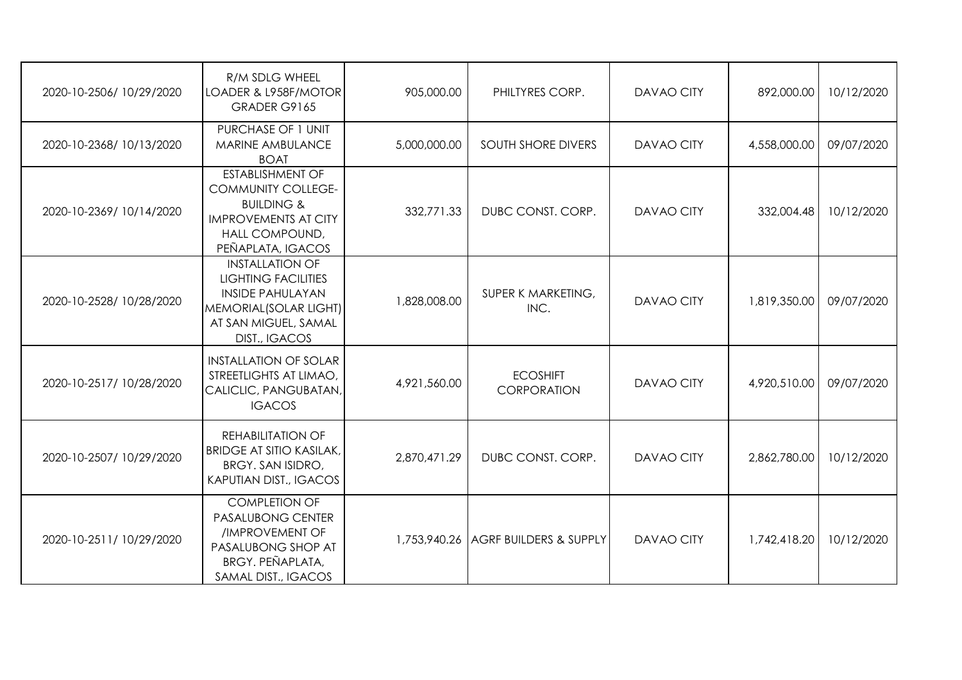| 2020-10-2506/ 10/29/2020 | R/M SDLG WHEEL<br>LOADER & L958F/MOTOR<br>GRADER G9165                                                                                              | 905,000.00   | PHILTYRES CORP.                     | <b>DAVAO CITY</b> | 892,000.00   | 10/12/2020 |
|--------------------------|-----------------------------------------------------------------------------------------------------------------------------------------------------|--------------|-------------------------------------|-------------------|--------------|------------|
| 2020-10-2368/10/13/2020  | PURCHASE OF 1 UNIT<br>MARINE AMBULANCE<br><b>BOAT</b>                                                                                               | 5,000,000.00 | <b>SOUTH SHORE DIVERS</b>           | <b>DAVAO CITY</b> | 4,558,000.00 | 09/07/2020 |
| 2020-10-2369/10/14/2020  | <b>ESTABLISHMENT OF</b><br><b>COMMUNITY COLLEGE-</b><br><b>BUILDING &amp;</b><br><b>IMPROVEMENTS AT CITY</b><br>HALL COMPOUND,<br>PEÑAPLATA, IGACOS | 332,771.33   | DUBC CONST. CORP.                   | <b>DAVAO CITY</b> | 332,004.48   | 10/12/2020 |
| 2020-10-2528/ 10/28/2020 | <b>INSTALLATION OF</b><br><b>LIGHTING FACILITIES</b><br><b>INSIDE PAHULAYAN</b><br>MEMORIAL(SOLAR LIGHT)<br>AT SAN MIGUEL, SAMAL<br>DIST., IGACOS   | 1,828,008.00 | SUPER K MARKETING,<br>INC.          | <b>DAVAO CITY</b> | 1,819,350.00 | 09/07/2020 |
| 2020-10-2517/ 10/28/2020 | <b>INSTALLATION OF SOLAR</b><br>STREETLIGHTS AT LIMAO,<br>CALICLIC, PANGUBATAN,<br><b>IGACOS</b>                                                    | 4,921,560.00 | <b>ECOSHIFT</b><br>CORPORATION      | <b>DAVAO CITY</b> | 4,920,510.00 | 09/07/2020 |
| 2020-10-2507/ 10/29/2020 | <b>REHABILITATION OF</b><br><b>BRIDGE AT SITIO KASILAK,</b><br>BRGY. SAN ISIDRO,<br><b>KAPUTIAN DIST., IGACOS</b>                                   | 2,870,471.29 | DUBC CONST. CORP.                   | <b>DAVAO CITY</b> | 2,862,780.00 | 10/12/2020 |
| 2020-10-2511/10/29/2020  | <b>COMPLETION OF</b><br><b>PASALUBONG CENTER</b><br>/IMPROVEMENT OF<br>PASALUBONG SHOP AT<br><b>BRGY. PEÑAPLATA,</b><br>SAMAL DIST., IGACOS         |              | 1,753,940.26 AGRF BUILDERS & SUPPLY | <b>DAVAO CITY</b> | 1,742,418.20 | 10/12/2020 |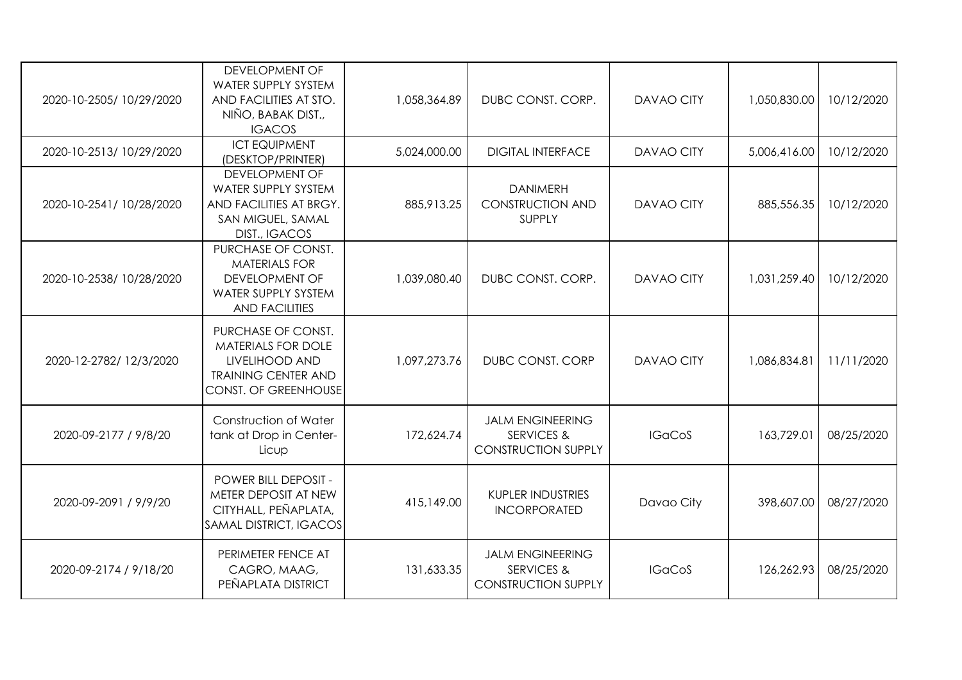| 2020-10-2505/10/29/2020  | DEVELOPMENT OF<br>WATER SUPPLY SYSTEM<br>AND FACILITIES AT STO.<br>NIÑO, BABAK DIST.,<br><b>IGACOS</b>                  | 1,058,364.89 | DUBC CONST. CORP.                                                              | <b>DAVAO CITY</b> | 1,050,830.00 | 10/12/2020 |
|--------------------------|-------------------------------------------------------------------------------------------------------------------------|--------------|--------------------------------------------------------------------------------|-------------------|--------------|------------|
| 2020-10-2513/10/29/2020  | <b>ICT EQUIPMENT</b><br>(DESKTOP/PRINTER)                                                                               | 5,024,000.00 | <b>DIGITAL INTERFACE</b>                                                       | <b>DAVAO CITY</b> | 5,006,416.00 | 10/12/2020 |
| 2020-10-2541/ 10/28/2020 | <b>DEVELOPMENT OF</b><br>WATER SUPPLY SYSTEM<br>AND FACILITIES AT BRGY.<br>SAN MIGUEL, SAMAL<br>DIST., IGACOS           | 885,913.25   | <b>DANIMERH</b><br><b>CONSTRUCTION AND</b><br>SUPPLY                           | <b>DAVAO CITY</b> | 885,556.35   | 10/12/2020 |
| 2020-10-2538/ 10/28/2020 | PURCHASE OF CONST.<br><b>MATERIALS FOR</b><br><b>DEVELOPMENT OF</b><br>WATER SUPPLY SYSTEM<br><b>AND FACILITIES</b>     | 1,039,080.40 | DUBC CONST. CORP.                                                              | <b>DAVAO CITY</b> | 1,031,259.40 | 10/12/2020 |
| 2020-12-2782/ 12/3/2020  | PURCHASE OF CONST.<br>MATERIALS FOR DOLE<br>LIVELIHOOD AND<br><b>TRAINING CENTER AND</b><br><b>CONST. OF GREENHOUSE</b> | 1.097.273.76 | <b>DUBC CONST. CORP</b>                                                        | <b>DAVAO CITY</b> | 1.086.834.81 | 11/11/2020 |
| 2020-09-2177 / 9/8/20    | Construction of Water<br>tank at Drop in Center-<br>Licup                                                               | 172,624.74   | <b>JALM ENGINEERING</b><br><b>SERVICES &amp;</b><br><b>CONSTRUCTION SUPPLY</b> | <b>IGaCoS</b>     | 163,729.01   | 08/25/2020 |
| 2020-09-2091 / 9/9/20    | <b>POWER BILL DEPOSIT -</b><br>METER DEPOSIT AT NEW<br>CITYHALL, PEÑAPLATA,<br>SAMAL DISTRICT, IGACOS                   | 415,149.00   | <b>KUPLER INDUSTRIES</b><br><b>INCORPORATED</b>                                | Davao City        | 398,607.00   | 08/27/2020 |
| 2020-09-2174 / 9/18/20   | PERIMETER FENCE AT<br>CAGRO, MAAG,<br>PEÑAPLATA DISTRICT                                                                | 131,633.35   | <b>JALM ENGINEERING</b><br><b>SERVICES &amp;</b><br><b>CONSTRUCTION SUPPLY</b> | <b>IGaCoS</b>     | 126,262.93   | 08/25/2020 |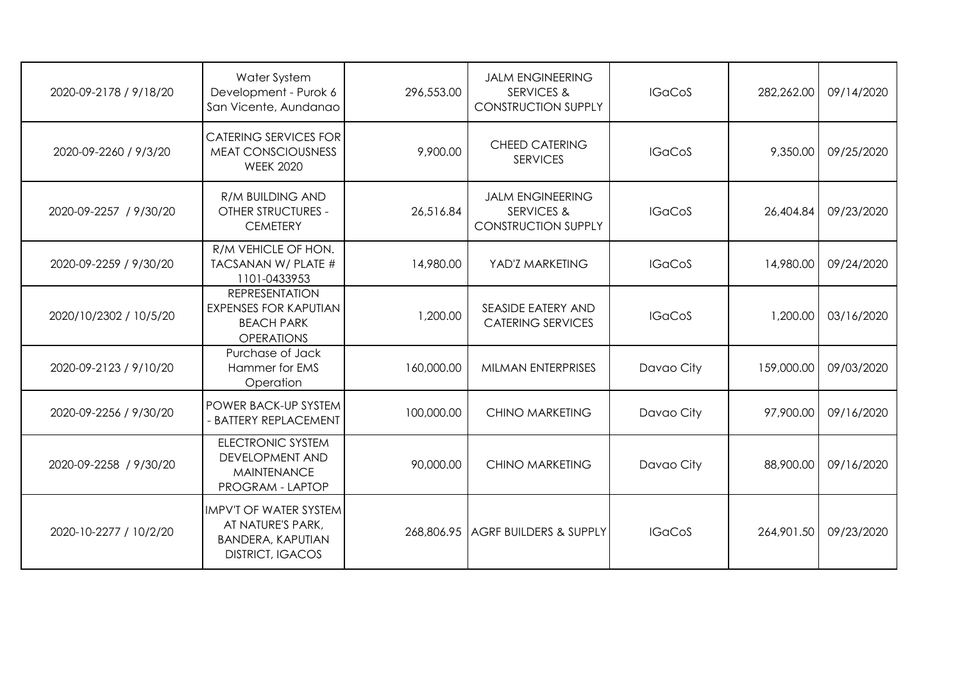| 2020-09-2178 / 9/18/20 | Water System<br>Development - Purok 6<br>San Vicente, Aundanao                                     | 296,553.00 | <b>JALM ENGINEERING</b><br><b>SERVICES &amp;</b><br><b>CONSTRUCTION SUPPLY</b> | <b>IGaCoS</b> | 282,262.00 | 09/14/2020 |
|------------------------|----------------------------------------------------------------------------------------------------|------------|--------------------------------------------------------------------------------|---------------|------------|------------|
| 2020-09-2260 / 9/3/20  | <b>CATERING SERVICES FOR</b><br><b>MEAT CONSCIOUSNESS</b><br><b>WEEK 2020</b>                      | 9,900.00   | <b>CHEED CATERING</b><br><b>SERVICES</b>                                       | <b>IGaCoS</b> | 9,350.00   | 09/25/2020 |
| 2020-09-2257 / 9/30/20 | <b>R/M BUILDING AND</b><br><b>OTHER STRUCTURES -</b><br><b>CEMETERY</b>                            | 26,516.84  | <b>JALM ENGINEERING</b><br><b>SERVICES &amp;</b><br><b>CONSTRUCTION SUPPLY</b> | <b>IGaCoS</b> | 26,404.84  | 09/23/2020 |
| 2020-09-2259 / 9/30/20 | R/M VEHICLE OF HON.<br>TACSANAN W/ PLATE #<br>1101-0433953                                         | 14,980.00  | YAD'Z MARKETING                                                                | <b>IGaCoS</b> | 14,980.00  | 09/24/2020 |
| 2020/10/2302 / 10/5/20 | <b>REPRESENTATION</b><br><b>EXPENSES FOR KAPUTIAN</b><br><b>BEACH PARK</b><br><b>OPERATIONS</b>    | 1,200.00   | <b>SEASIDE EATERY AND</b><br><b>CATERING SERVICES</b>                          | <b>IGaCoS</b> | 1,200.00   | 03/16/2020 |
| 2020-09-2123 / 9/10/20 | Purchase of Jack<br>Hammer for EMS<br>Operation                                                    | 160,000.00 | MILMAN ENTERPRISES                                                             | Davao City    | 159,000.00 | 09/03/2020 |
| 2020-09-2256 / 9/30/20 | POWER BACK-UP SYSTEM<br>- BATTERY REPLACEMENT                                                      | 100,000.00 | <b>CHINO MARKETING</b>                                                         | Davao City    | 97,900.00  | 09/16/2020 |
| 2020-09-2258 / 9/30/20 | <b>ELECTRONIC SYSTEM</b><br><b>DEVELOPMENT AND</b><br><b>MAINTENANCE</b><br>PROGRAM - LAPTOP       | 90,000.00  | <b>CHINO MARKETING</b>                                                         | Davao City    | 88,900.00  | 09/16/2020 |
| 2020-10-2277 / 10/2/20 | IMPV'T OF WATER SYSTEM<br>AT NATURE'S PARK,<br><b>BANDERA, KAPUTIAN</b><br><b>DISTRICT, IGACOS</b> |            | 268,806.95 AGRF BUILDERS & SUPPLY                                              | <b>IGaCoS</b> | 264,901.50 | 09/23/2020 |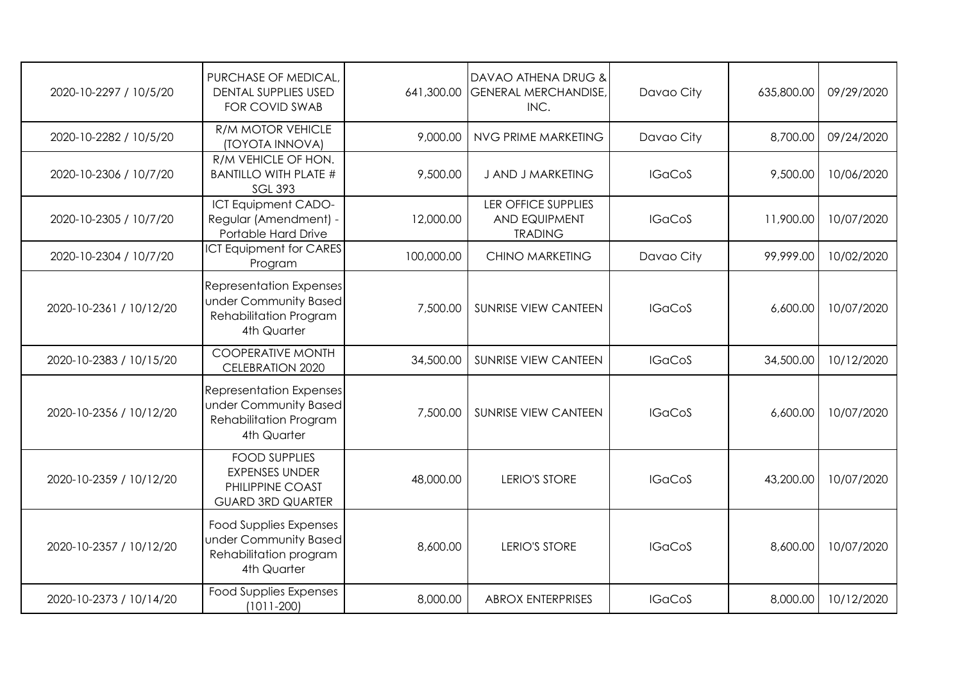| 2020-10-2297 / 10/5/20  | PURCHASE OF MEDICAL,<br><b>DENTAL SUPPLIES USED</b><br><b>FOR COVID SWAB</b>                     | 641,300.00 | DAVAO ATHENA DRUG &<br><b>GENERAL MERCHANDISE,</b><br>INC.           | Davao City    | 635,800.00 | 09/29/2020 |
|-------------------------|--------------------------------------------------------------------------------------------------|------------|----------------------------------------------------------------------|---------------|------------|------------|
| 2020-10-2282 / 10/5/20  | <b>R/M MOTOR VEHICLE</b><br>(TOYOTA INNOVA)                                                      | 9,000.00   | NVG PRIME MARKETING                                                  | Davao City    | 8,700.00   | 09/24/2020 |
| 2020-10-2306 / 10/7/20  | R/M VEHICLE OF HON.<br><b>BANTILLO WITH PLATE #</b><br><b>SGL 393</b>                            | 9,500.00   | <b>J AND J MARKETING</b>                                             | <b>IGaCoS</b> | 9,500.00   | 10/06/2020 |
| 2020-10-2305 / 10/7/20  | <b>ICT Equipment CADO-</b><br>Regular (Amendment) -<br>Portable Hard Drive                       | 12,000.00  | <b>LER OFFICE SUPPLIES</b><br><b>AND EQUIPMENT</b><br><b>TRADING</b> | <b>IGaCoS</b> | 11,900.00  | 10/07/2020 |
| 2020-10-2304 / 10/7/20  | <b>ICT Equipment for CARES</b><br>Program                                                        | 100,000.00 | <b>CHINO MARKETING</b>                                               | Davao City    | 99,999.00  | 10/02/2020 |
| 2020-10-2361 / 10/12/20 | <b>Representation Expenses</b><br>under Community Based<br>Rehabilitation Program<br>4th Quarter | 7,500.00   | <b>SUNRISE VIEW CANTEEN</b>                                          | <b>IGaCoS</b> | 6,600.00   | 10/07/2020 |
| 2020-10-2383 / 10/15/20 | <b>COOPERATIVE MONTH</b><br><b>CELEBRATION 2020</b>                                              | 34,500.00  | <b>SUNRISE VIEW CANTEEN</b>                                          | <b>IGaCoS</b> | 34,500.00  | 10/12/2020 |
| 2020-10-2356 / 10/12/20 | <b>Representation Expenses</b><br>under Community Based<br>Rehabilitation Program<br>4th Quarter | 7,500.00   | <b>SUNRISE VIEW CANTEEN</b>                                          | <b>IGaCoS</b> | 6,600.00   | 10/07/2020 |
| 2020-10-2359 / 10/12/20 | <b>FOOD SUPPLIES</b><br><b>EXPENSES UNDER</b><br>PHILIPPINE COAST<br><b>GUARD 3RD QUARTER</b>    | 48,000.00  | <b>LERIO'S STORE</b>                                                 | <b>IGaCoS</b> | 43,200.00  | 10/07/2020 |
| 2020-10-2357 / 10/12/20 | <b>Food Supplies Expenses</b><br>under Community Based<br>Rehabilitation program<br>4th Quarter  | 8,600.00   | <b>LERIO'S STORE</b>                                                 | <b>IGaCoS</b> | 8,600.00   | 10/07/2020 |
| 2020-10-2373 / 10/14/20 | <b>Food Supplies Expenses</b><br>$(1011 - 200)$                                                  | 8,000.00   | <b>ABROX ENTERPRISES</b>                                             | <b>IGaCoS</b> | 8,000.00   | 10/12/2020 |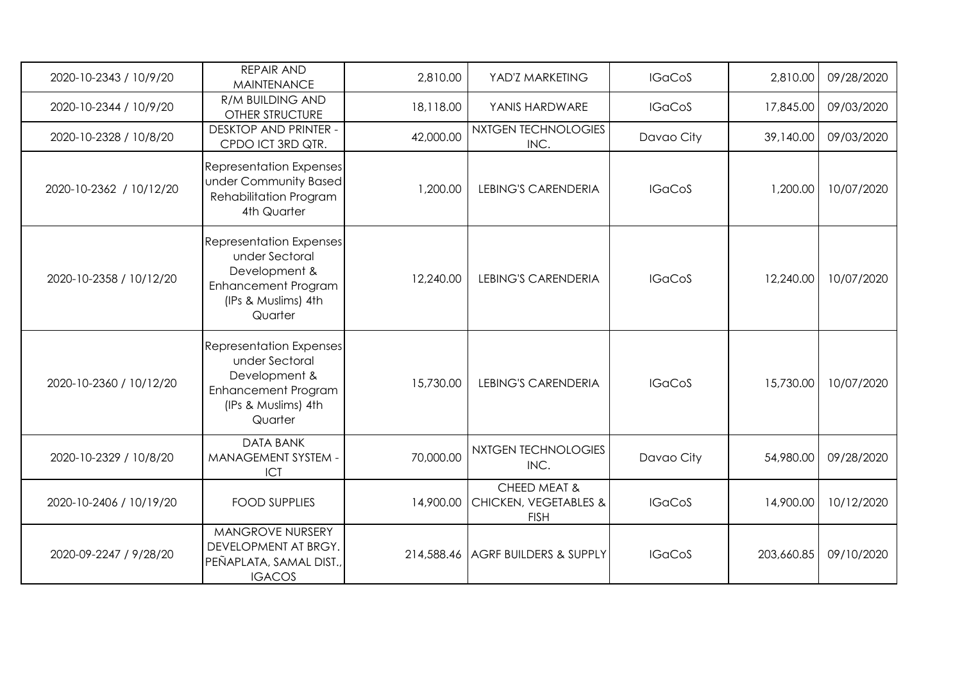| 2020-10-2343 / 10/9/20  | <b>REPAIR AND</b><br><b>MAINTENANCE</b>                                                                                           | 2,810.00  | YAD'Z MARKETING                                      | <b>IGaCoS</b> | 2,810.00   | 09/28/2020 |
|-------------------------|-----------------------------------------------------------------------------------------------------------------------------------|-----------|------------------------------------------------------|---------------|------------|------------|
| 2020-10-2344 / 10/9/20  | <b>R/M BUILDING AND</b><br><b>OTHER STRUCTURE</b>                                                                                 | 18,118.00 | YANIS HARDWARE                                       | <b>IGaCoS</b> | 17,845.00  | 09/03/2020 |
| 2020-10-2328 / 10/8/20  | <b>DESKTOP AND PRINTER -</b><br>CPDO ICT 3RD QTR.                                                                                 | 42,000.00 | <b>NXTGEN TECHNOLOGIES</b><br>INC.                   | Davao City    | 39,140.00  | 09/03/2020 |
| 2020-10-2362 / 10/12/20 | <b>Representation Expenses</b><br>under Community Based<br>Rehabilitation Program<br>4th Quarter                                  | 1,200.00  | <b>LEBING'S CARENDERIA</b>                           | <b>IGaCoS</b> | 1,200.00   | 10/07/2020 |
| 2020-10-2358 / 10/12/20 | <b>Representation Expenses</b><br>under Sectoral<br>Development &<br><b>Enhancement Program</b><br>(IPs & Muslims) 4th<br>Quarter | 12,240.00 | <b>LEBING'S CARENDERIA</b>                           | <b>IGaCoS</b> | 12,240.00  | 10/07/2020 |
| 2020-10-2360 / 10/12/20 | <b>Representation Expenses</b><br>under Sectoral<br>Development &<br><b>Enhancement Program</b><br>(IPs & Muslims) 4th<br>Quarter | 15,730.00 | <b>LEBING'S CARENDERIA</b>                           | <b>IGaCoS</b> | 15,730.00  | 10/07/2020 |
| 2020-10-2329 / 10/8/20  | <b>DATA BANK</b><br>MANAGEMENT SYSTEM -<br>ICT                                                                                    | 70,000.00 | NXTGEN TECHNOLOGIES<br>INC.                          | Davao City    | 54,980.00  | 09/28/2020 |
| 2020-10-2406 / 10/19/20 | <b>FOOD SUPPLIES</b>                                                                                                              | 14,900.00 | CHEED MEAT &<br>CHICKEN, VEGETABLES &<br><b>FISH</b> | <b>IGaCoS</b> | 14,900.00  | 10/12/2020 |
| 2020-09-2247 / 9/28/20  | MANGROVE NURSERY<br>DEVELOPMENT AT BRGY.<br>PEÑAPLATA, SAMAL DIST.,<br><b>IGACOS</b>                                              |           | 214,588.46 AGRF BUILDERS & SUPPLY                    | <b>IGaCoS</b> | 203,660.85 | 09/10/2020 |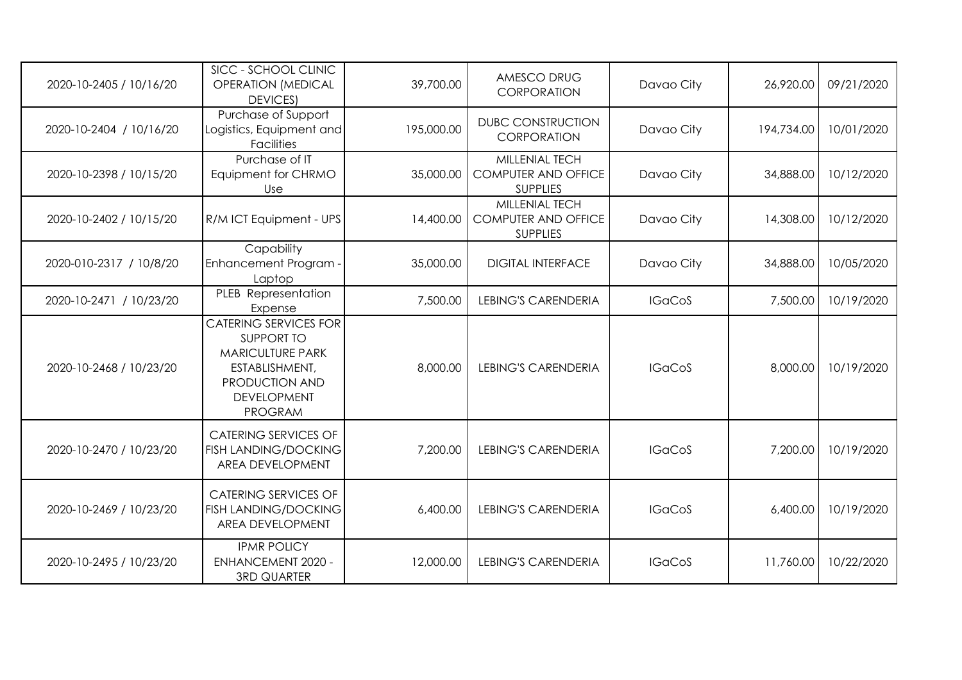| 2020-10-2405 / 10/16/20 | SICC - SCHOOL CLINIC<br><b>OPERATION (MEDICAL</b><br><b>DEVICES</b>                                                                                      | 39,700.00  | AMESCO DRUG<br><b>CORPORATION</b>                               | Davao City    | 26,920.00  | 09/21/2020 |
|-------------------------|----------------------------------------------------------------------------------------------------------------------------------------------------------|------------|-----------------------------------------------------------------|---------------|------------|------------|
| 2020-10-2404 / 10/16/20 | Purchase of Support<br>Logistics, Equipment and<br><b>Facilities</b>                                                                                     | 195,000.00 | <b>DUBC CONSTRUCTION</b><br>CORPORATION                         | Davao City    | 194,734.00 | 10/01/2020 |
| 2020-10-2398 / 10/15/20 | Purchase of IT<br>Equipment for CHRMO<br>Use                                                                                                             | 35,000.00  | MILLENIAL TECH<br><b>COMPUTER AND OFFICE</b><br><b>SUPPLIES</b> | Davao City    | 34,888.00  | 10/12/2020 |
| 2020-10-2402 / 10/15/20 | R/M ICT Equipment - UPS                                                                                                                                  | 14,400.00  | MILLENIAL TECH<br><b>COMPUTER AND OFFICE</b><br><b>SUPPLIES</b> | Davao City    | 14,308.00  | 10/12/2020 |
| 2020-010-2317 / 10/8/20 | Capability<br><b>Enhancement Program</b><br>Laptop                                                                                                       | 35,000.00  | <b>DIGITAL INTERFACE</b>                                        | Davao City    | 34,888.00  | 10/05/2020 |
| 2020-10-2471 / 10/23/20 | PLEB Representation<br>Expense                                                                                                                           | 7,500.00   | <b>LEBING'S CARENDERIA</b>                                      | <b>IGaCoS</b> | 7,500.00   | 10/19/2020 |
| 2020-10-2468 / 10/23/20 | <b>CATERING SERVICES FOR</b><br><b>SUPPORT TO</b><br><b>MARICULTURE PARK</b><br>ESTABLISHMENT,<br>PRODUCTION AND<br><b>DEVELOPMENT</b><br><b>PROGRAM</b> | 8,000.00   | <b>LEBING'S CARENDERIA</b>                                      | <b>IGaCoS</b> | 8,000.00   | 10/19/2020 |
| 2020-10-2470 / 10/23/20 | <b>CATERING SERVICES OF</b><br><b>FISH LANDING/DOCKING</b><br>AREA DEVELOPMENT                                                                           | 7,200.00   | <b>LEBING'S CARENDERIA</b>                                      | <b>IGaCoS</b> | 7,200.00   | 10/19/2020 |
| 2020-10-2469 / 10/23/20 | <b>CATERING SERVICES OF</b><br><b>FISH LANDING/DOCKING</b><br>AREA DEVELOPMENT                                                                           | 6,400.00   | <b>LEBING'S CARENDERIA</b>                                      | <b>IGaCoS</b> | 6,400.00   | 10/19/2020 |
| 2020-10-2495 / 10/23/20 | <b>IPMR POLICY</b><br><b>ENHANCEMENT 2020 -</b><br><b>3RD QUARTER</b>                                                                                    | 12,000.00  | <b>LEBING'S CARENDERIA</b>                                      | <b>IGaCoS</b> | 11,760.00  | 10/22/2020 |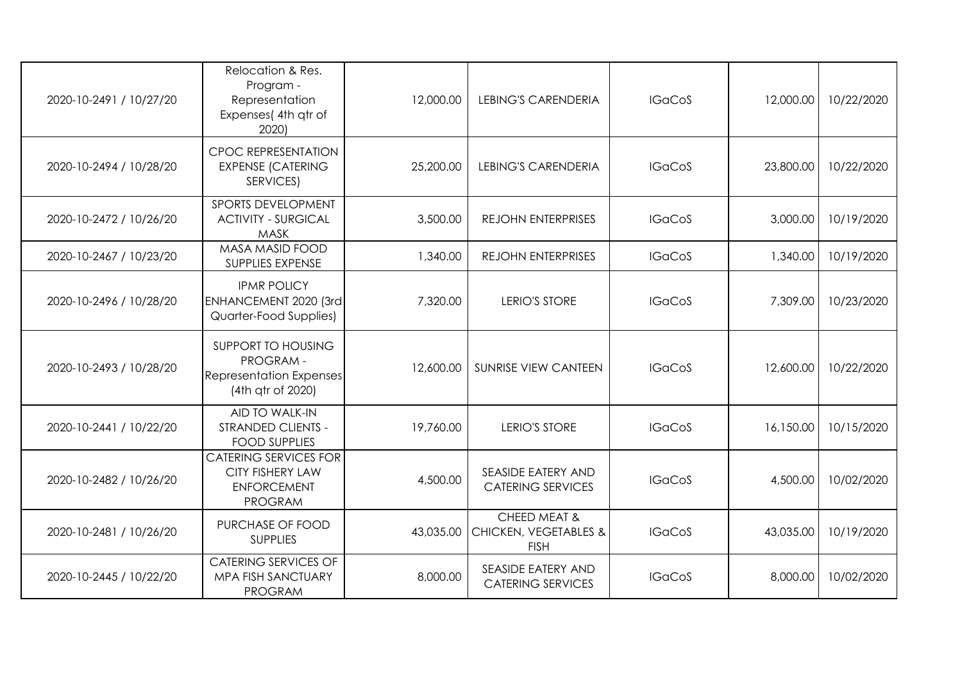| 2020-10-2491 / 10/27/20 | Relocation & Res.<br>Program -<br>Representation<br>Expenses(4th qtr of<br>2020)                | 12,000.00 | <b>LEBING'S CARENDERIA</b>                           | <b>IGaCoS</b> | 12,000.00 | 10/22/2020 |
|-------------------------|-------------------------------------------------------------------------------------------------|-----------|------------------------------------------------------|---------------|-----------|------------|
| 2020-10-2494 / 10/28/20 | <b>CPOC REPRESENTATION</b><br><b>EXPENSE (CATERING</b><br>SERVICES)                             | 25,200.00 | <b>LEBING'S CARENDERIA</b>                           | <b>IGaCoS</b> | 23,800.00 | 10/22/2020 |
| 2020-10-2472 / 10/26/20 | <b>SPORTS DEVELOPMENT</b><br><b>ACTIVITY - SURGICAL</b><br><b>MASK</b>                          | 3,500.00  | <b>REJOHN ENTERPRISES</b>                            | <b>IGaCoS</b> | 3,000.00  | 10/19/2020 |
| 2020-10-2467 / 10/23/20 | <b>MASA MASID FOOD</b><br>SUPPLIES EXPENSE                                                      | 1,340.00  | REJOHN ENTERPRISES                                   | <b>IGaCoS</b> | 1,340.00  | 10/19/2020 |
| 2020-10-2496 / 10/28/20 | <b>IPMR POLICY</b><br>ENHANCEMENT 2020 (3rd<br>Quarter-Food Supplies)                           | 7,320.00  | <b>LERIO'S STORE</b>                                 | <b>IGaCoS</b> | 7,309.00  | 10/23/2020 |
| 2020-10-2493 / 10/28/20 | SUPPORT TO HOUSING<br>PROGRAM-<br>Representation Expenses<br>(4th gtr of 2020)                  | 12,600.00 | <b>SUNRISE VIEW CANTEEN</b>                          | <b>IGaCoS</b> | 12,600.00 | 10/22/2020 |
| 2020-10-2441 / 10/22/20 | <b>AID TO WALK-IN</b><br>STRANDED CLIENTS -<br><b>FOOD SUPPLIES</b>                             | 19,760.00 | <b>LERIO'S STORE</b>                                 | <b>IGaCoS</b> | 16,150.00 | 10/15/2020 |
| 2020-10-2482 / 10/26/20 | <b>CATERING SERVICES FOR</b><br><b>CITY FISHERY LAW</b><br><b>ENFORCEMENT</b><br><b>PROGRAM</b> | 4,500.00  | SEASIDE EATERY AND<br><b>CATERING SERVICES</b>       | <b>IGaCoS</b> | 4,500.00  | 10/02/2020 |
| 2020-10-2481 / 10/26/20 | PURCHASE OF FOOD<br><b>SUPPLIES</b>                                                             | 43,035.00 | CHEED MEAT &<br>CHICKEN, VEGETABLES &<br><b>FISH</b> | <b>IGaCoS</b> | 43,035.00 | 10/19/2020 |
| 2020-10-2445 / 10/22/20 | <b>CATERING SERVICES OF</b><br>MPA FISH SANCTUARY<br><b>PROGRAM</b>                             | 8,000.00  | SEASIDE EATERY AND<br><b>CATERING SERVICES</b>       | <b>IGaCoS</b> | 8,000.00  | 10/02/2020 |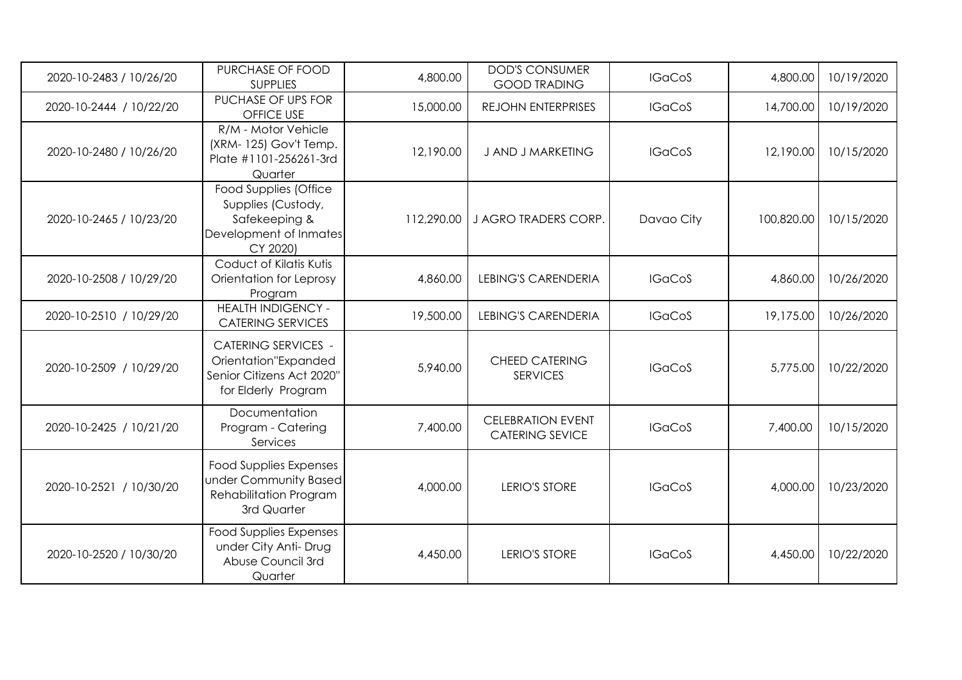| 2020-10-2483 / 10/26/20 | PURCHASE OF FOOD<br><b>SUPPLIES</b>                                                                    | 4,800.00   | <b>DOD'S CONSUMER</b><br><b>GOOD TRADING</b>       | <b>IGaCoS</b> | 4,800.00   | 10/19/2020 |
|-------------------------|--------------------------------------------------------------------------------------------------------|------------|----------------------------------------------------|---------------|------------|------------|
| 2020-10-2444 / 10/22/20 | PUCHASE OF UPS FOR<br><b>OFFICE USE</b>                                                                | 15,000.00  | REJOHN ENTERPRISES                                 | <b>IGaCoS</b> | 14,700.00  | 10/19/2020 |
| 2020-10-2480 / 10/26/20 | R/M - Motor Vehicle<br>(XRM-125) Gov't Temp.<br>Plate #1101-256261-3rd<br>Quarter                      | 12,190.00  | J AND J MARKETING                                  | <b>IGaCoS</b> | 12,190.00  | 10/15/2020 |
| 2020-10-2465 / 10/23/20 | Food Supplies (Office<br>Supplies (Custody,<br>Safekeeping &<br>Development of Inmates<br>CY 2020)     | 112,290.00 | J AGRO TRADERS CORP.                               | Davao City    | 100,820.00 | 10/15/2020 |
| 2020-10-2508 / 10/29/20 | Coduct of Kilatis Kutis<br>Orientation for Leprosy<br>Program                                          | 4,860.00   | <b>LEBING'S CARENDERIA</b>                         | <b>IGaCoS</b> | 4,860.00   | 10/26/2020 |
| 2020-10-2510 / 10/29/20 | <b>HEALTH INDIGENCY -</b><br><b>CATERING SERVICES</b>                                                  | 19,500.00  | <b>LEBING'S CARENDERIA</b>                         | <b>IGaCoS</b> | 19,175.00  | 10/26/2020 |
| 2020-10-2509 / 10/29/20 | <b>CATERING SERVICES -</b><br>Orientation"Expanded<br>Senior Citizens Act 2020"<br>for Elderly Program | 5,940.00   | <b>CHEED CATERING</b><br><b>SERVICES</b>           | <b>IGaCoS</b> | 5,775.00   | 10/22/2020 |
| 2020-10-2425 / 10/21/20 | Documentation<br>Program - Catering<br>Services                                                        | 7,400.00   | <b>CELEBRATION EVENT</b><br><b>CATERING SEVICE</b> | <b>IGaCoS</b> | 7,400.00   | 10/15/2020 |
| 2020-10-2521 / 10/30/20 | <b>Food Supplies Expenses</b><br>under Community Based<br>Rehabilitation Program<br>3rd Quarter        | 4,000.00   | <b>LERIO'S STORE</b>                               | <b>IGaCoS</b> | 4,000.00   | 10/23/2020 |
| 2020-10-2520 / 10/30/20 | <b>Food Supplies Expenses</b><br>under City Anti- Drug<br>Abuse Council 3rd<br>Quarter                 | 4,450.00   | <b>LERIO'S STORE</b>                               | <b>IGaCoS</b> | 4,450.00   | 10/22/2020 |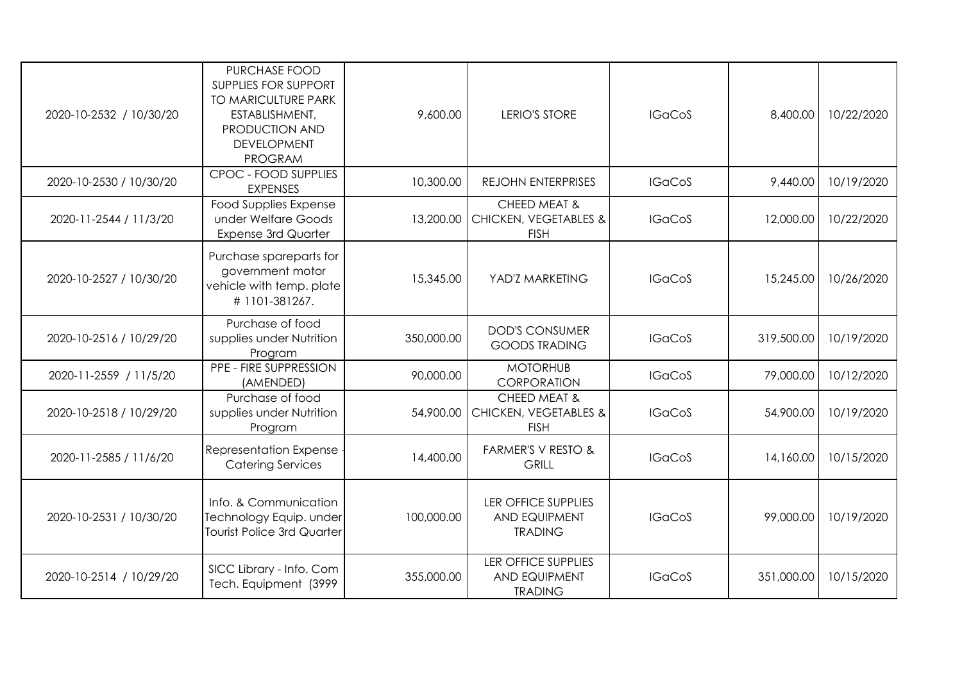| 2020-10-2532 / 10/30/20 | PURCHASE FOOD<br><b>SUPPLIES FOR SUPPORT</b><br>TO MARICULTURE PARK<br>ESTABLISHMENT,<br><b>PRODUCTION AND</b><br><b>DEVELOPMENT</b><br><b>PROGRAM</b> | 9,600.00   | <b>LERIO'S STORE</b>                                                 | <b>IGaCoS</b> | 8,400.00   | 10/22/2020 |
|-------------------------|--------------------------------------------------------------------------------------------------------------------------------------------------------|------------|----------------------------------------------------------------------|---------------|------------|------------|
| 2020-10-2530 / 10/30/20 | CPOC - FOOD SUPPLIES<br><b>EXPENSES</b>                                                                                                                | 10,300.00  | REJOHN ENTERPRISES                                                   | <b>IGaCoS</b> | 9,440.00   | 10/19/2020 |
| 2020-11-2544 / 11/3/20  | <b>Food Supplies Expense</b><br>under Welfare Goods<br><b>Expense 3rd Quarter</b>                                                                      | 13,200.00  | CHEED MEAT &<br><b>CHICKEN, VEGETABLES &amp;</b><br><b>FISH</b>      | <b>IGaCoS</b> | 12,000.00  | 10/22/2020 |
| 2020-10-2527 / 10/30/20 | Purchase spareparts for<br>government motor<br>vehicle with temp. plate<br>#1101-381267.                                                               | 15,345.00  | YAD'Z MARKETING                                                      | <b>IGaCoS</b> | 15,245.00  | 10/26/2020 |
| 2020-10-2516 / 10/29/20 | Purchase of food<br>supplies under Nutrition<br>Program                                                                                                | 350,000.00 | <b>DOD'S CONSUMER</b><br><b>GOODS TRADING</b>                        | <b>IGaCoS</b> | 319,500.00 | 10/19/2020 |
| 2020-11-2559 / 11/5/20  | PPE - FIRE SUPPRESSION<br>(AMENDED)                                                                                                                    | 90,000.00  | <b>MOTORHUB</b><br>CORPORATION                                       | <b>IGaCoS</b> | 79,000.00  | 10/12/2020 |
| 2020-10-2518 / 10/29/20 | Purchase of food<br>supplies under Nutrition<br>Program                                                                                                | 54,900.00  | CHEED MEAT &<br><b>CHICKEN, VEGETABLES &amp;</b><br><b>FISH</b>      | <b>IGaCoS</b> | 54,900.00  | 10/19/2020 |
| 2020-11-2585 / 11/6/20  | Representation Expense<br><b>Catering Services</b>                                                                                                     | 14,400.00  | FARMER'S V RESTO &<br><b>GRILL</b>                                   | <b>IGaCoS</b> | 14,160.00  | 10/15/2020 |
| 2020-10-2531 / 10/30/20 | Info. & Communication<br>Technology Equip. under<br><b>Tourist Police 3rd Quarter</b>                                                                  | 100,000.00 | <b>LER OFFICE SUPPLIES</b><br><b>AND EQUIPMENT</b><br><b>TRADING</b> | <b>IGaCoS</b> | 99,000.00  | 10/19/2020 |
| 2020-10-2514 / 10/29/20 | SICC Library - Info. Com<br>Tech. Equipment (3999                                                                                                      | 355,000.00 | <b>LER OFFICE SUPPLIES</b><br><b>AND EQUIPMENT</b><br><b>TRADING</b> | <b>IGaCoS</b> | 351,000.00 | 10/15/2020 |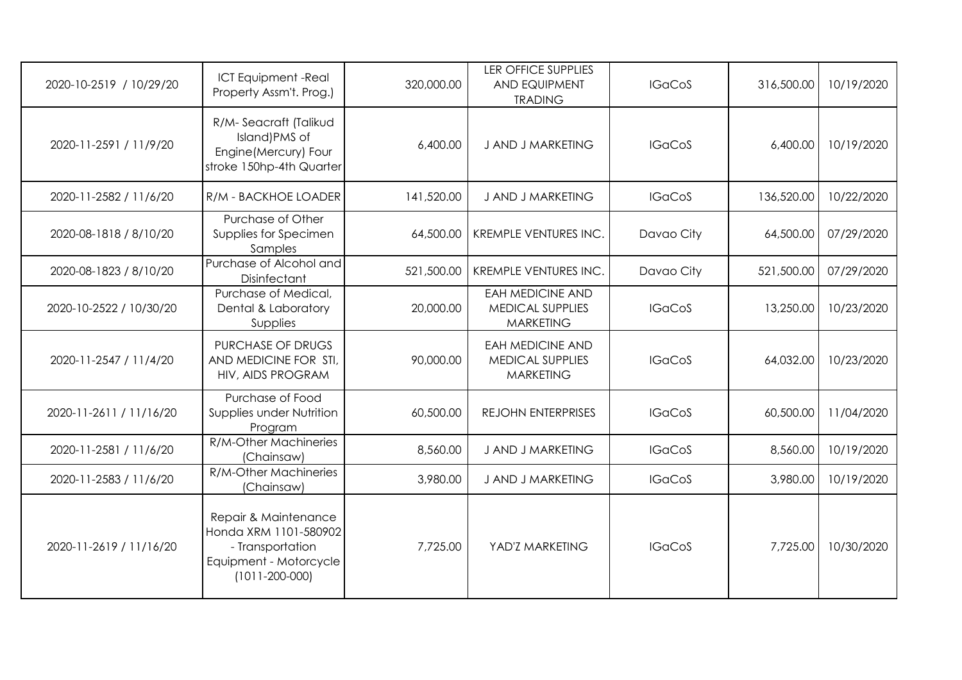| 2020-10-2519 / 10/29/20 | <b>ICT Equipment -Real</b><br>Property Assm't. Prog.)                                                               | 320,000.00 | <b>LER OFFICE SUPPLIES</b><br><b>AND EQUIPMENT</b><br><b>TRADING</b>   | <b>IGaCoS</b> | 316,500.00 | 10/19/2020 |
|-------------------------|---------------------------------------------------------------------------------------------------------------------|------------|------------------------------------------------------------------------|---------------|------------|------------|
| 2020-11-2591 / 11/9/20  | R/M-Seacraft (Talikud<br>Island) PMS of<br>Engine (Mercury) Four<br>stroke 150hp-4th Quarter                        | 6,400.00   | J AND J MARKETING                                                      | <b>IGaCoS</b> | 6,400.00   | 10/19/2020 |
| 2020-11-2582 / 11/6/20  | R/M - BACKHOE LOADER                                                                                                | 141,520.00 | <b>J AND J MARKETING</b>                                               | <b>IGaCoS</b> | 136,520.00 | 10/22/2020 |
| 2020-08-1818 / 8/10/20  | Purchase of Other<br>Supplies for Specimen<br>Samples                                                               | 64,500.00  | KREMPLE VENTURES INC.                                                  | Davao City    | 64,500.00  | 07/29/2020 |
| 2020-08-1823 / 8/10/20  | Purchase of Alcohol and<br>Disinfectant                                                                             | 521,500.00 | <b>KREMPLE VENTURES INC.</b>                                           | Davao City    | 521,500.00 | 07/29/2020 |
| 2020-10-2522 / 10/30/20 | Purchase of Medical,<br>Dental & Laboratory<br>Supplies                                                             | 20,000.00  | <b>EAH MEDICINE AND</b><br><b>MEDICAL SUPPLIES</b><br><b>MARKETING</b> | <b>IGaCoS</b> | 13,250.00  | 10/23/2020 |
| 2020-11-2547 / 11/4/20  | PURCHASE OF DRUGS<br>AND MEDICINE FOR STI,<br>HIV, AIDS PROGRAM                                                     | 90,000.00  | <b>EAH MEDICINE AND</b><br>MEDICAL SUPPLIES<br><b>MARKETING</b>        | <b>IGaCoS</b> | 64,032.00  | 10/23/2020 |
| 2020-11-2611 / 11/16/20 | Purchase of Food<br>Supplies under Nutrition<br>Program                                                             | 60,500.00  | <b>REJOHN ENTERPRISES</b>                                              | <b>IGaCoS</b> | 60,500.00  | 11/04/2020 |
| 2020-11-2581 / 11/6/20  | R/M-Other Machineries<br>(Chainsaw)                                                                                 | 8,560.00   | J AND J MARKETING                                                      | <b>IGaCoS</b> | 8,560.00   | 10/19/2020 |
| 2020-11-2583 / 11/6/20  | R/M-Other Machineries<br>(Chainsaw)                                                                                 | 3,980.00   | J AND J MARKETING                                                      | <b>IGaCoS</b> | 3,980.00   | 10/19/2020 |
| 2020-11-2619 / 11/16/20 | Repair & Maintenance<br>Honda XRM 1101-580902<br>- Transportation<br>Equipment - Motorcycle<br>$(1011 - 200 - 000)$ | 7,725.00   | YAD'Z MARKETING                                                        | <b>IGaCoS</b> | 7,725.00   | 10/30/2020 |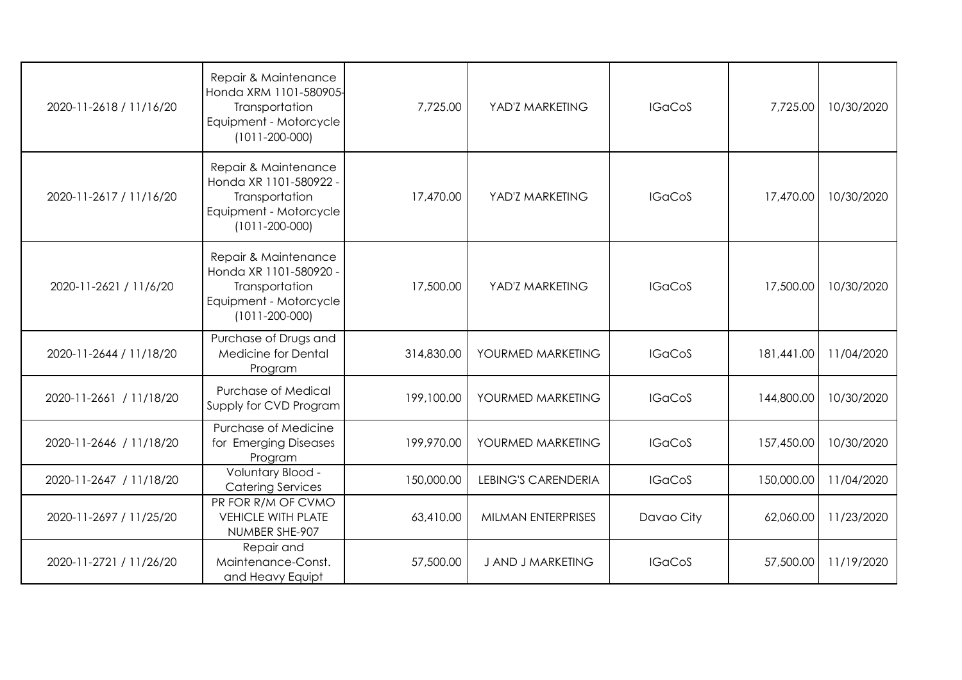| 2020-11-2618 / 11/16/20 | Repair & Maintenance<br>Honda XRM 1101-580905-<br>Transportation<br>Equipment - Motorcycle<br>$(1011 - 200 - 000)$ | 7,725.00   | YAD'Z MARKETING            | <b>IGaCoS</b> | 7,725.00   | 10/30/2020 |
|-------------------------|--------------------------------------------------------------------------------------------------------------------|------------|----------------------------|---------------|------------|------------|
| 2020-11-2617 / 11/16/20 | Repair & Maintenance<br>Honda XR 1101-580922 -<br>Transportation<br>Equipment - Motorcycle<br>$(1011 - 200 - 000)$ | 17,470.00  | YAD'Z MARKETING            | <b>IGaCoS</b> | 17,470.00  | 10/30/2020 |
| 2020-11-2621 / 11/6/20  | Repair & Maintenance<br>Honda XR 1101-580920 -<br>Transportation<br>Equipment - Motorcycle<br>$(1011 - 200 - 000)$ | 17,500.00  | YAD'Z MARKETING            | <b>IGaCoS</b> | 17,500.00  | 10/30/2020 |
| 2020-11-2644 / 11/18/20 | Purchase of Drugs and<br><b>Medicine for Dental</b><br>Program                                                     | 314,830.00 | YOURMED MARKETING          | <b>IGaCoS</b> | 181,441.00 | 11/04/2020 |
| 2020-11-2661 / 11/18/20 | Purchase of Medical<br>Supply for CVD Program                                                                      | 199,100.00 | YOURMED MARKETING          | <b>IGaCoS</b> | 144,800.00 | 10/30/2020 |
| 2020-11-2646 / 11/18/20 | Purchase of Medicine<br>for Emerging Diseases<br>Program                                                           | 199,970.00 | YOURMED MARKETING          | <b>IGaCoS</b> | 157,450.00 | 10/30/2020 |
| 2020-11-2647 / 11/18/20 | Voluntary Blood -<br><b>Catering Services</b>                                                                      | 150,000.00 | <b>LEBING'S CARENDERIA</b> | <b>IGaCoS</b> | 150,000.00 | 11/04/2020 |
| 2020-11-2697 / 11/25/20 | PR FOR R/M OF CVMO<br><b>VEHICLE WITH PLATE</b><br>NUMBER SHE-907                                                  | 63,410.00  | MILMAN ENTERPRISES         | Davao City    | 62,060.00  | 11/23/2020 |
| 2020-11-2721 / 11/26/20 | Repair and<br>Maintenance-Const.<br>and Heavy Equipt                                                               | 57,500.00  | <b>J AND J MARKETING</b>   | <b>IGaCoS</b> | 57,500.00  | 11/19/2020 |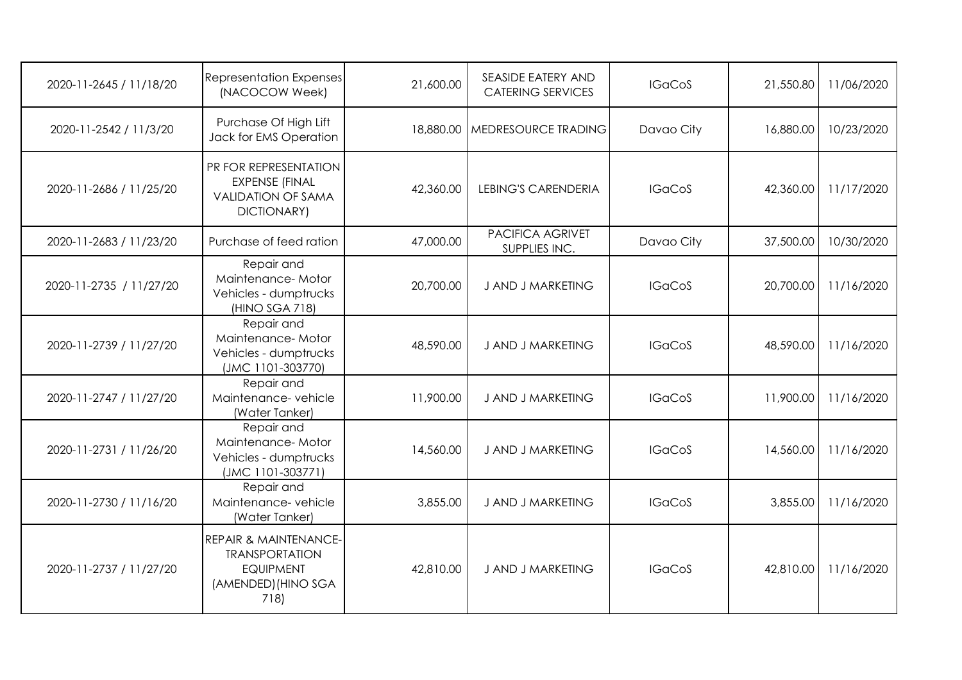| 2020-11-2645 / 11/18/20 | <b>Representation Expenses</b><br>(NACOCOW Week)                                                             | 21,600.00 | <b>SEASIDE EATERY AND</b><br><b>CATERING SERVICES</b> | <b>IGaCoS</b> | 21,550.80 | 11/06/2020 |
|-------------------------|--------------------------------------------------------------------------------------------------------------|-----------|-------------------------------------------------------|---------------|-----------|------------|
| 2020-11-2542 / 11/3/20  | Purchase Of High Lift<br>Jack for EMS Operation                                                              | 18,880.00 | MEDRESOURCE TRADING                                   | Davao City    | 16,880.00 | 10/23/2020 |
| 2020-11-2686 / 11/25/20 | PR FOR REPRESENTATION<br><b>EXPENSE (FINAL</b><br><b>VALIDATION OF SAMA</b><br>DICTIONARY)                   | 42,360.00 | <b>LEBING'S CARENDERIA</b>                            | <b>IGaCoS</b> | 42,360.00 | 11/17/2020 |
| 2020-11-2683 / 11/23/20 | Purchase of feed ration                                                                                      | 47,000.00 | PACIFICA AGRIVET<br>SUPPLIES INC.                     | Davao City    | 37,500.00 | 10/30/2020 |
| 2020-11-2735 / 11/27/20 | Repair and<br>Maintenance-Motor<br>Vehicles - dumptrucks<br>(HINO SGA 718)                                   | 20,700.00 | J AND J MARKETING                                     | <b>IGaCoS</b> | 20,700.00 | 11/16/2020 |
| 2020-11-2739 / 11/27/20 | Repair and<br>Maintenance-Motor<br>Vehicles - dumptrucks<br>(JMC 1101-303770)                                | 48,590.00 | J AND J MARKETING                                     | <b>IGaCoS</b> | 48,590.00 | 11/16/2020 |
| 2020-11-2747 / 11/27/20 | Repair and<br>Maintenance-vehicle<br>(Water Tanker)                                                          | 11,900.00 | J AND J MARKETING                                     | <b>IGaCoS</b> | 11,900.00 | 11/16/2020 |
| 2020-11-2731 / 11/26/20 | Repair and<br>Maintenance-Motor<br>Vehicles - dumptrucks<br>(JMC 1101-303771)                                | 14,560.00 | J AND J MARKETING                                     | <b>IGaCoS</b> | 14,560.00 | 11/16/2020 |
| 2020-11-2730 / 11/16/20 | Repair and<br>Maintenance-vehicle<br>(Water Tanker)                                                          | 3,855.00  | J AND J MARKETING                                     | <b>IGaCoS</b> | 3,855.00  | 11/16/2020 |
| 2020-11-2737 / 11/27/20 | <b>REPAIR &amp; MAINTENANCE-</b><br><b>TRANSPORTATION</b><br><b>EQUIPMENT</b><br>(AMENDED) (HINO SGA<br>718) | 42,810.00 | J AND J MARKETING                                     | <b>IGaCoS</b> | 42,810.00 | 11/16/2020 |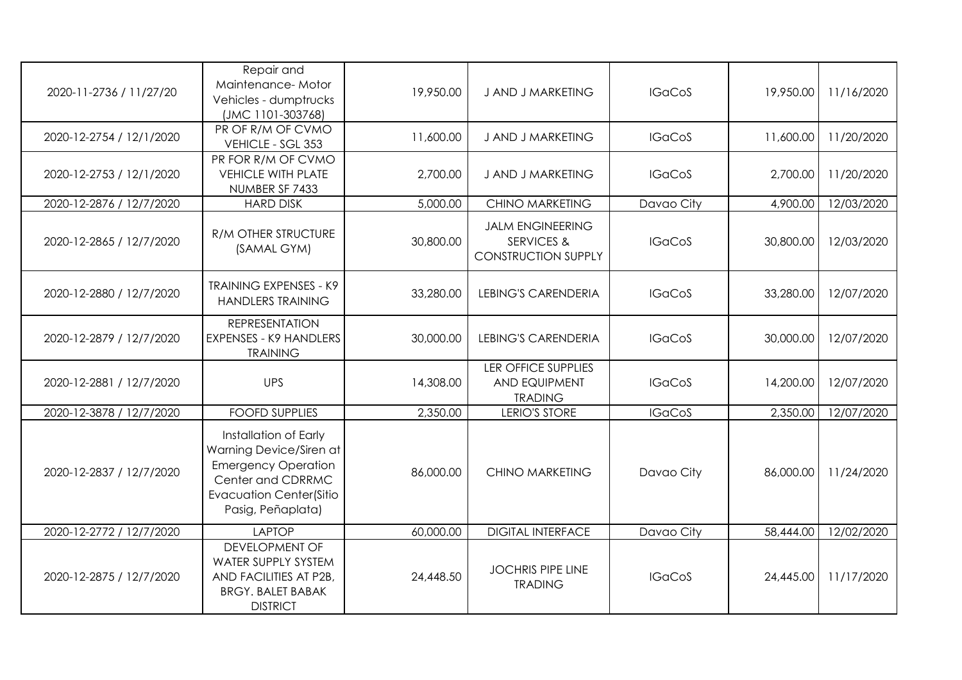| 2020-11-2736 / 11/27/20  | Repair and<br>Maintenance-Motor<br>Vehicles - dumptrucks<br>(JMC 1101-303768)                                                                              | 19,950.00 | J AND J MARKETING                                                              | <b>IGaCoS</b> | 19,950.00 | 11/16/2020 |
|--------------------------|------------------------------------------------------------------------------------------------------------------------------------------------------------|-----------|--------------------------------------------------------------------------------|---------------|-----------|------------|
| 2020-12-2754 / 12/1/2020 | PR OF R/M OF CVMO<br>VEHICLE - SGL 353                                                                                                                     | 11,600.00 | J AND J MARKETING                                                              | <b>IGaCoS</b> | 11,600.00 | 11/20/2020 |
| 2020-12-2753 / 12/1/2020 | PR FOR R/M OF CVMO<br><b>VEHICLE WITH PLATE</b><br>NUMBER SF 7433                                                                                          | 2,700.00  | J AND J MARKETING                                                              | <b>IGaCoS</b> | 2,700.00  | 11/20/2020 |
| 2020-12-2876 / 12/7/2020 | <b>HARD DISK</b>                                                                                                                                           | 5,000.00  | <b>CHINO MARKETING</b>                                                         | Davao City    | 4,900.00  | 12/03/2020 |
| 2020-12-2865 / 12/7/2020 | <b>R/M OTHER STRUCTURE</b><br>(SAMAL GYM)                                                                                                                  | 30,800.00 | <b>JALM ENGINEERING</b><br><b>SERVICES &amp;</b><br><b>CONSTRUCTION SUPPLY</b> | <b>IGaCoS</b> | 30,800.00 | 12/03/2020 |
| 2020-12-2880 / 12/7/2020 | <b>TRAINING EXPENSES - K9</b><br><b>HANDLERS TRAINING</b>                                                                                                  | 33,280.00 | <b>LEBING'S CARENDERIA</b>                                                     | <b>IGaCoS</b> | 33,280.00 | 12/07/2020 |
| 2020-12-2879 / 12/7/2020 | <b>REPRESENTATION</b><br><b>EXPENSES - K9 HANDLERS</b><br><b>TRAINING</b>                                                                                  | 30,000.00 | <b>LEBING'S CARENDERIA</b>                                                     | <b>IGaCoS</b> | 30,000.00 | 12/07/2020 |
| 2020-12-2881 / 12/7/2020 | <b>UPS</b>                                                                                                                                                 | 14,308.00 | LER OFFICE SUPPLIES<br><b>AND EQUIPMENT</b><br><b>TRADING</b>                  | <b>IGaCoS</b> | 14,200.00 | 12/07/2020 |
| 2020-12-3878 / 12/7/2020 | <b>FOOFD SUPPLIES</b>                                                                                                                                      | 2,350.00  | LERIO'S STORE                                                                  | <b>IGaCoS</b> | 2,350.00  | 12/07/2020 |
| 2020-12-2837 / 12/7/2020 | Installation of Early<br>Warning Device/Siren at<br><b>Emergency Operation</b><br>Center and CDRRMC<br><b>Evacuation Center(Sitio</b><br>Pasig, Peñaplata) | 86,000.00 | <b>CHINO MARKETING</b>                                                         | Davao City    | 86,000.00 | 11/24/2020 |
| 2020-12-2772 / 12/7/2020 | <b>LAPTOP</b>                                                                                                                                              | 60,000.00 | <b>DIGITAL INTERFACE</b>                                                       | Davao City    | 58,444.00 | 12/02/2020 |
| 2020-12-2875 / 12/7/2020 | <b>DEVELOPMENT OF</b><br>WATER SUPPLY SYSTEM<br>AND FACILITIES AT P2B,<br><b>BRGY. BALET BABAK</b><br><b>DISTRICT</b>                                      | 24,448.50 | <b>JOCHRIS PIPE LINE</b><br><b>TRADING</b>                                     | <b>IGaCoS</b> | 24,445.00 | 11/17/2020 |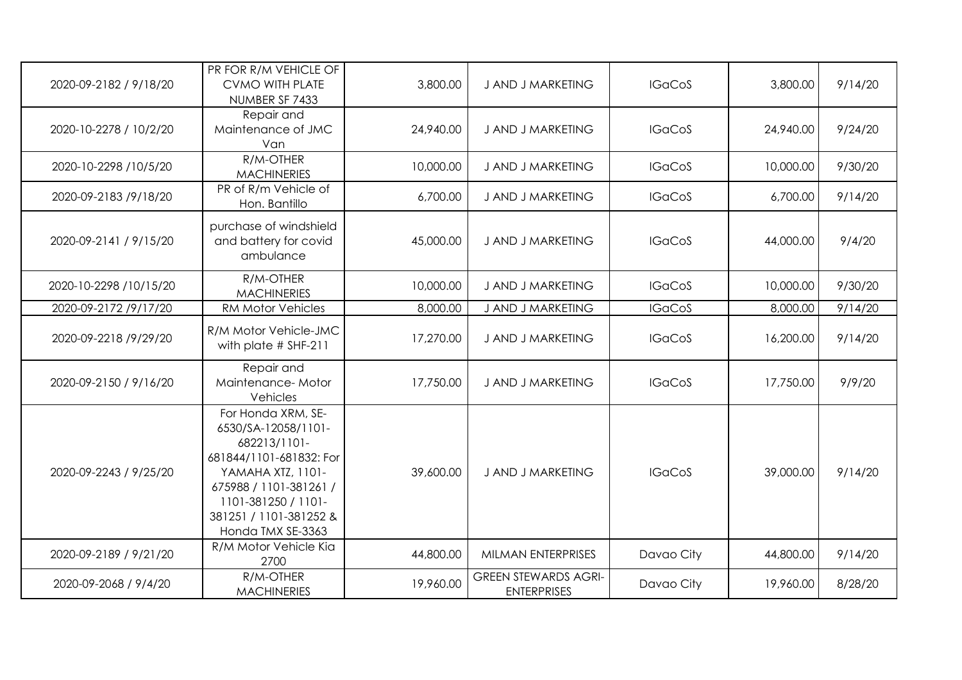| 2020-09-2182 / 9/18/20 | PR FOR R/M VEHICLE OF<br><b>CVMO WITH PLATE</b><br>NUMBER SF 7433                                                                                                                                         | 3,800.00  | J AND J MARKETING                                 | <b>IGaCoS</b> | 3,800.00  | 9/14/20 |
|------------------------|-----------------------------------------------------------------------------------------------------------------------------------------------------------------------------------------------------------|-----------|---------------------------------------------------|---------------|-----------|---------|
| 2020-10-2278 / 10/2/20 | Repair and<br>Maintenance of JMC<br>Van                                                                                                                                                                   | 24,940.00 | J AND J MARKETING                                 | <b>IGaCoS</b> | 24,940.00 | 9/24/20 |
| 2020-10-2298 /10/5/20  | R/M-OTHER<br><b>MACHINERIES</b>                                                                                                                                                                           | 10,000.00 | J AND J MARKETING                                 | <b>IGaCoS</b> | 10,000.00 | 9/30/20 |
| 2020-09-2183 /9/18/20  | PR of R/m Vehicle of<br>Hon. Bantillo                                                                                                                                                                     | 6,700.00  | <b>J AND J MARKETING</b>                          | <b>IGaCoS</b> | 6,700.00  | 9/14/20 |
| 2020-09-2141 / 9/15/20 | purchase of windshield<br>and battery for covid<br>ambulance                                                                                                                                              | 45,000.00 | J AND J MARKETING                                 | <b>IGaCoS</b> | 44,000.00 | 9/4/20  |
| 2020-10-2298 /10/15/20 | R/M-OTHER<br><b>MACHINERIES</b>                                                                                                                                                                           | 10,000.00 | J AND J MARKETING                                 | <b>IGaCoS</b> | 10,000.00 | 9/30/20 |
| 2020-09-2172 /9/17/20  | <b>RM Motor Vehicles</b>                                                                                                                                                                                  | 8,000.00  | J AND J MARKETING                                 | <b>IGaCoS</b> | 8,000.00  | 9/14/20 |
| 2020-09-2218 /9/29/20  | R/M Motor Vehicle-JMC<br>with plate $#$ SHF-211                                                                                                                                                           | 17,270.00 | J AND J MARKETING                                 | <b>IGaCoS</b> | 16,200.00 | 9/14/20 |
| 2020-09-2150 / 9/16/20 | Repair and<br>Maintenance-Motor<br>Vehicles                                                                                                                                                               | 17,750.00 | J AND J MARKETING                                 | <b>IGaCoS</b> | 17,750.00 | 9/9/20  |
| 2020-09-2243 / 9/25/20 | For Honda XRM, SE-<br>6530/SA-12058/1101-<br>682213/1101-<br>681844/1101-681832: For<br>YAMAHA XTZ, 1101-<br>675988 / 1101-381261 /<br>1101-381250 / 1101-<br>381251 / 1101-381252 &<br>Honda TMX SE-3363 | 39,600.00 | J AND J MARKETING                                 | <b>IGaCoS</b> | 39,000.00 | 9/14/20 |
| 2020-09-2189 / 9/21/20 | R/M Motor Vehicle Kia<br>2700                                                                                                                                                                             | 44,800.00 | MILMAN ENTERPRISES                                | Davao City    | 44,800.00 | 9/14/20 |
| 2020-09-2068 / 9/4/20  | R/M-OTHER<br><b>MACHINERIES</b>                                                                                                                                                                           | 19,960.00 | <b>GREEN STEWARDS AGRI-</b><br><b>ENTERPRISES</b> | Davao City    | 19,960.00 | 8/28/20 |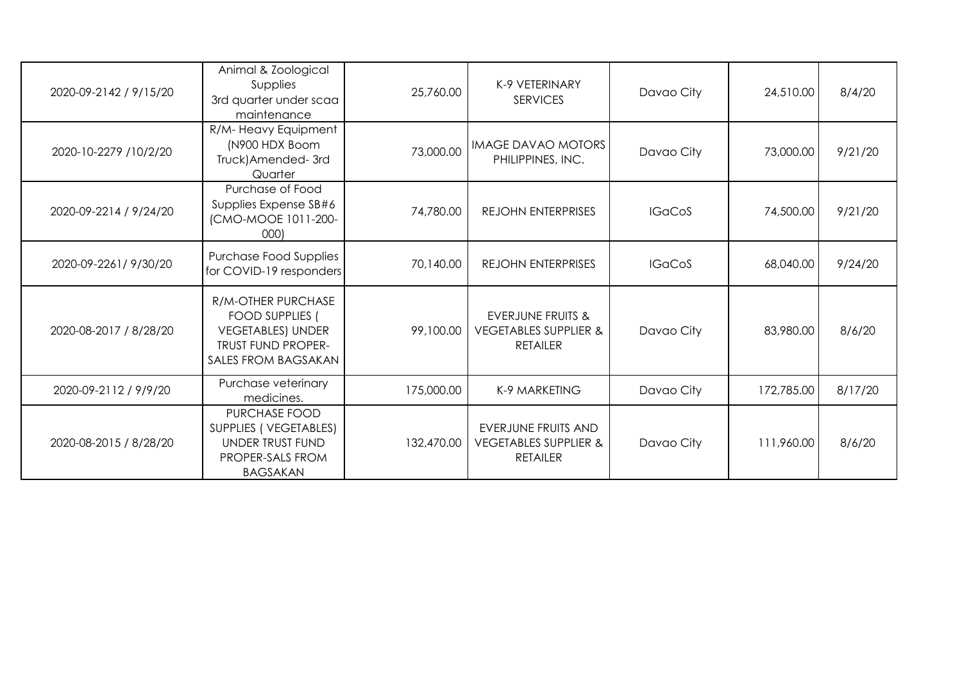| 2020-09-2142 / 9/15/20 | Animal & Zoological<br>Supplies<br>3rd quarter under scaa<br>maintenance                                                   | 25,760.00  | K-9 VETERINARY<br><b>SERVICES</b>                                                   | Davao City    | 24,510.00  | 8/4/20  |
|------------------------|----------------------------------------------------------------------------------------------------------------------------|------------|-------------------------------------------------------------------------------------|---------------|------------|---------|
| 2020-10-2279 /10/2/20  | R/M-Heavy Equipment<br>(N900 HDX Boom<br>Truck) Amended-3rd<br>Quarter                                                     | 73,000.00  | <b>IMAGE DAVAO MOTORS</b><br>PHILIPPINES, INC.                                      | Davao City    | 73,000.00  | 9/21/20 |
| 2020-09-2214 / 9/24/20 | Purchase of Food<br>Supplies Expense SB#6<br>(CMO-MOOE 1011-200-<br>000                                                    | 74,780.00  | <b>REJOHN ENTERPRISES</b>                                                           | <b>IGaCoS</b> | 74,500.00  | 9/21/20 |
| 2020-09-2261/9/30/20   | Purchase Food Supplies<br>for COVID-19 responders                                                                          | 70,140.00  | <b>REJOHN ENTERPRISES</b>                                                           | <b>IGaCoS</b> | 68,040.00  | 9/24/20 |
| 2020-08-2017 / 8/28/20 | R/M-OTHER PURCHASE<br><b>FOOD SUPPLIES</b><br><b>VEGETABLES) UNDER</b><br><b>TRUST FUND PROPER-</b><br>SALES FROM BAGSAKAN | 99,100.00  | <b>EVERJUNE FRUITS &amp;</b><br><b>VEGETABLES SUPPLIER &amp;</b><br><b>RETAILER</b> | Davao City    | 83,980.00  | 8/6/20  |
| 2020-09-2112 / 9/9/20  | Purchase veterinary<br>medicines.                                                                                          | 175,000.00 | K-9 MARKETING                                                                       | Davao City    | 172,785.00 | 8/17/20 |
| 2020-08-2015 / 8/28/20 | PURCHASE FOOD<br>SUPPLIES (VEGETABLES)<br>UNDER TRUST FUND<br>PROPER-SALS FROM<br><b>BAGSAKAN</b>                          | 132,470.00 | EVERJUNE FRUITS AND<br><b>VEGETABLES SUPPLIER &amp;</b><br><b>RETAILER</b>          | Davao City    | 111,960.00 | 8/6/20  |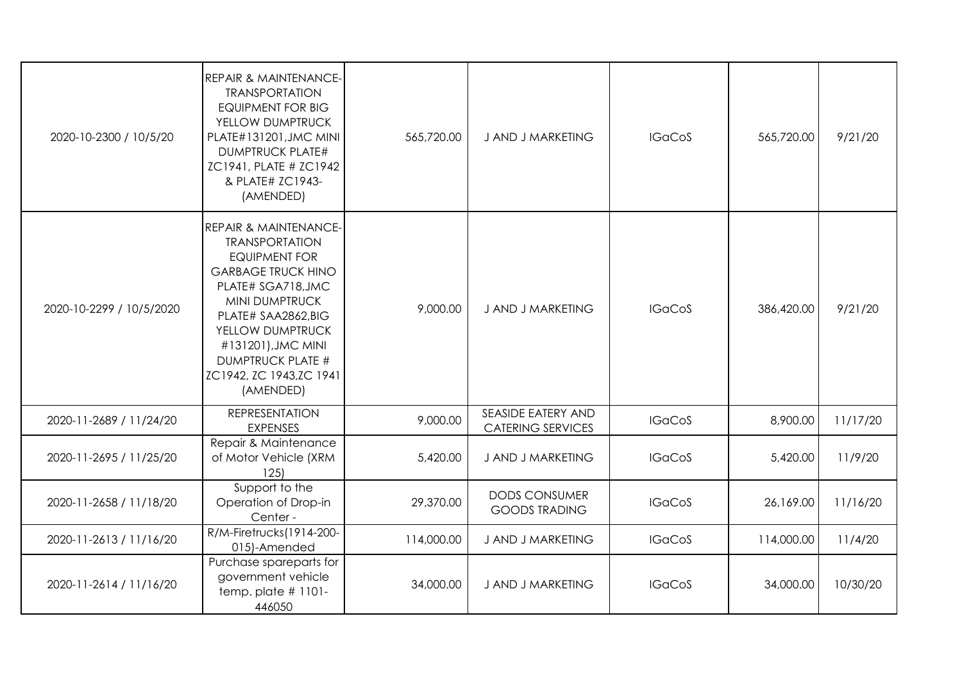| 2020-10-2300 / 10/5/20   | <b>REPAIR &amp; MAINTENANCE-</b><br><b>TRANSPORTATION</b><br><b>EQUIPMENT FOR BIG</b><br>YELLOW DUMPTRUCK<br>PLATE#131201, JMC MINI<br><b>DUMPTRUCK PLATE#</b><br>ZC1941, PLATE # ZC1942<br>& PLATE# ZC1943-<br>(AMENDED)                                                                   | 565,720.00 | J AND J MARKETING                              | <b>IGaCoS</b> | 565,720.00 | 9/21/20  |
|--------------------------|---------------------------------------------------------------------------------------------------------------------------------------------------------------------------------------------------------------------------------------------------------------------------------------------|------------|------------------------------------------------|---------------|------------|----------|
| 2020-10-2299 / 10/5/2020 | <b>REPAIR &amp; MAINTENANCE-</b><br><b>TRANSPORTATION</b><br><b>EQUIPMENT FOR</b><br><b>GARBAGE TRUCK HINO</b><br>PLATE# SGA718, JMC<br>MINI DUMPTRUCK<br>PLATE# SAA2862,BIG<br>YELLOW DUMPTRUCK<br>#131201), JMC MINI<br><b>DUMPTRUCK PLATE #</b><br>ZC1942, ZC 1943, ZC 1941<br>(AMENDED) | 9,000.00   | J AND J MARKETING                              | <b>IGaCoS</b> | 386,420.00 | 9/21/20  |
| 2020-11-2689 / 11/24/20  | <b>REPRESENTATION</b><br><b>EXPENSES</b>                                                                                                                                                                                                                                                    | 9,000.00   | SEASIDE EATERY AND<br><b>CATERING SERVICES</b> | <b>IGaCoS</b> | 8,900.00   | 11/17/20 |
| 2020-11-2695 / 11/25/20  | Repair & Maintenance<br>of Motor Vehicle (XRM<br>125                                                                                                                                                                                                                                        | 5,420.00   | J AND J MARKETING                              | <b>IGaCoS</b> | 5,420.00   | 11/9/20  |
| 2020-11-2658 / 11/18/20  | Support to the<br>Operation of Drop-in<br>Center -                                                                                                                                                                                                                                          | 29,370.00  | <b>DODS CONSUMER</b><br><b>GOODS TRADING</b>   | <b>IGaCoS</b> | 26,169.00  | 11/16/20 |
| 2020-11-2613 / 11/16/20  | R/M-Firetrucks(1914-200-<br>015)-Amended                                                                                                                                                                                                                                                    | 114,000.00 | J AND J MARKETING                              | <b>IGaCoS</b> | 114,000.00 | 11/4/20  |
| 2020-11-2614 / 11/16/20  | Purchase spareparts for<br>government vehicle<br>temp. plate $# 1101 -$<br>446050                                                                                                                                                                                                           | 34,000.00  | J AND J MARKETING                              | <b>IGaCoS</b> | 34,000.00  | 10/30/20 |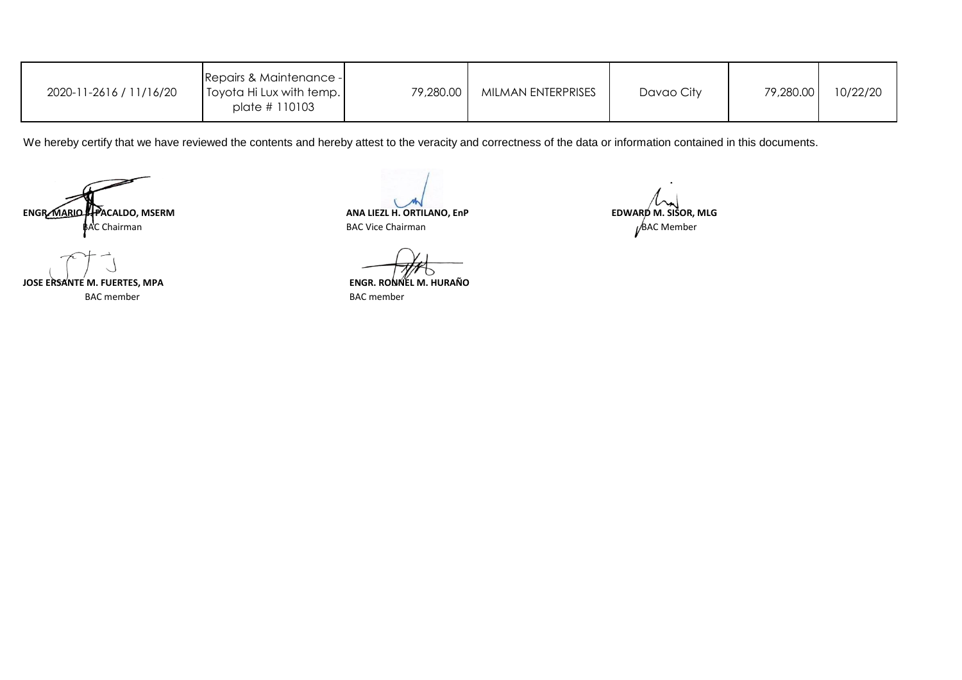| 2020-11-2616 / 11/16/20 | Repairs & Maintenance -<br>Toyota Hi Lux with temp.<br>plate # 110103 | 79,280.00 | MILMAN ENTERPRISES | Davao City | 79,280.00 | 10/22/20 |
|-------------------------|-----------------------------------------------------------------------|-----------|--------------------|------------|-----------|----------|
|-------------------------|-----------------------------------------------------------------------|-----------|--------------------|------------|-----------|----------|

We hereby certify that we have reviewed the contents and hereby attest to the veracity and correctness of the data or information contained in this documents.

BAC Chairman BAC Member BAC Vice ChairmanENGR. MARIO SPACALDO, MSERM<br>BAC Chairman **BAC MESSOR, MLG** BAC Vice Chairman **BAC Vice Chairman BAC Vice Chairman** 

BAC member BAC member JOSE ERSANTE M. FUERTES, MPA

**ENGR. RONNEL M. HURAÑO**